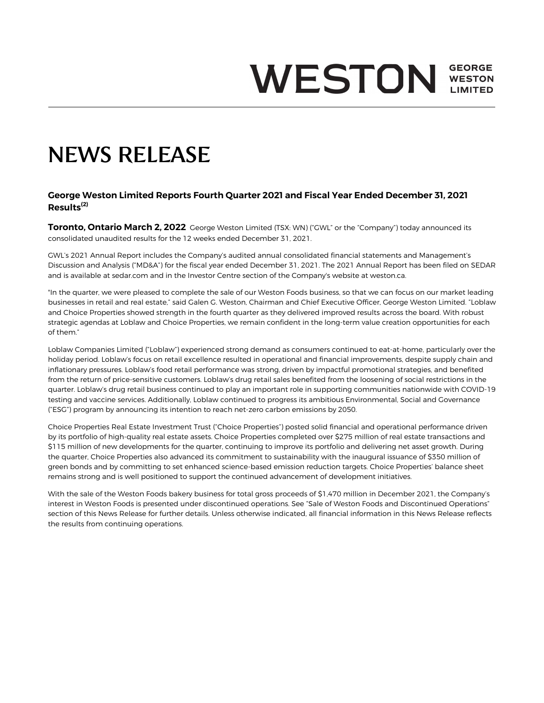# **GEORGE WESTON WESTON**

# NEWS RELEASE

#### **George Weston Limited Reports Fourth Quarter 2021 and Fiscal Year Ended December 31, 2021 Results(2)**

**Toronto, Ontario March 2, 2022** George Weston Limited (TSX: WN) ("GWL" or the "Company") today announced its consolidated unaudited results for the 12 weeks ended December 31, 2021.

GWL's 2021 Annual Report includes the Company's audited annual consolidated financial statements and Management's Discussion and Analysis ("MD&A") for the fiscal year ended December 31, 2021. The 2021 Annual Report has been filed on SEDAR and is available at sedar.com and in the Investor Centre section of the Company's website at weston.ca.

"In the quarter, we were pleased to complete the sale of our Weston Foods business, so that we can focus on our market leading businesses in retail and real estate," said Galen G. Weston, Chairman and Chief Executive Officer, George Weston Limited. "Loblaw and Choice Properties showed strength in the fourth quarter as they delivered improved results across the board. With robust strategic agendas at Loblaw and Choice Properties, we remain confident in the long-term value creation opportunities for each of them."

Loblaw Companies Limited ("Loblaw") experienced strong demand as consumers continued to eat-at-home, particularly over the holiday period. Loblaw's focus on retail excellence resulted in operational and financial improvements, despite supply chain and inflationary pressures. Loblaw's food retail performance was strong, driven by impactful promotional strategies, and benefited from the return of price-sensitive customers. Loblaw's drug retail sales benefited from the loosening of social restrictions in the quarter. Loblaw's drug retail business continued to play an important role in supporting communities nationwide with COVID-19 testing and vaccine services. Additionally, Loblaw continued to progress its ambitious Environmental, Social and Governance ("ESG") program by announcing its intention to reach net-zero carbon emissions by 2050.

Choice Properties Real Estate Investment Trust ("Choice Properties") posted solid financial and operational performance driven by its portfolio of high-quality real estate assets. Choice Properties completed over \$275 million of real estate transactions and \$115 million of new developments for the quarter, continuing to improve its portfolio and delivering net asset growth. During the quarter, Choice Properties also advanced its commitment to sustainability with the inaugural issuance of \$350 million of green bonds and by committing to set enhanced science-based emission reduction targets. Choice Properties' balance sheet remains strong and is well positioned to support the continued advancement of development initiatives.

With the sale of the Weston Foods bakery business for total gross proceeds of \$1,470 million in December 2021, the Company's interest in Weston Foods is presented under discontinued operations. See "Sale of Weston Foods and Discontinued Operations" section of this News Release for further details. Unless otherwise indicated, all financial information in this News Release reflects the results from continuing operations.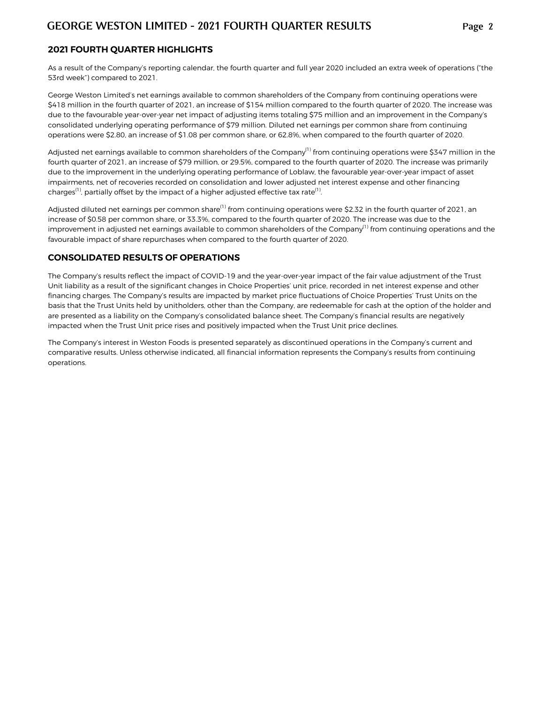### **2021 FOURTH QUARTER HIGHLIGHTS**

As a result of the Company's reporting calendar, the fourth quarter and full year 2020 included an extra week of operations ("the 53rd week") compared to 2021.

George Weston Limited's net earnings available to common shareholders of the Company from continuing operations were \$418 million in the fourth quarter of 2021, an increase of \$154 million compared to the fourth quarter of 2020. The increase was due to the favourable year-over-year net impact of adjusting items totaling \$75 million and an improvement in the Company's consolidated underlying operating performance of \$79 million. Diluted net earnings per common share from continuing operations were \$2.80, an increase of \$1.08 per common share, or 62.8%, when compared to the fourth quarter of 2020.

Adjusted net earnings available to common shareholders of the Company<sup>(1)</sup> from continuing operations were \$347 million in the fourth quarter of 2021, an increase of \$79 million, or 29.5%, compared to the fourth quarter of 2020. The increase was primarily due to the improvement in the underlying operating performance of Loblaw, the favourable year-over-year impact of asset impairments, net of recoveries recorded on consolidation and lower adjusted net interest expense and other financing charges<sup>(1)</sup>, partially offset by the impact of a higher adjusted effective tax rate<sup>(1)</sup>. .

Adjusted diluted net earnings per common share<sup>(1)</sup> from continuing operations were \$2.32 in the fourth quarter of 2021, an increase of \$0.58 per common share, or 33.3%, compared to the fourth quarter of 2020. The increase was due to the improvement in adjusted net earnings available to common shareholders of the Company<sup>(1)</sup> from continuing operations and the favourable impact of share repurchases when compared to the fourth quarter of 2020.

#### **CONSOLIDATED RESULTS OF OPERATIONS**

The Company's results reflect the impact of COVID-19 and the year-over-year impact of the fair value adjustment of the Trust Unit liability as a result of the significant changes in Choice Properties' unit price, recorded in net interest expense and other financing charges. The Company's results are impacted by market price fluctuations of Choice Properties' Trust Units on the basis that the Trust Units held by unitholders, other than the Company, are redeemable for cash at the option of the holder and are presented as a liability on the Company's consolidated balance sheet. The Company's financial results are negatively impacted when the Trust Unit price rises and positively impacted when the Trust Unit price declines.

The Company's interest in Weston Foods is presented separately as discontinued operations in the Company's current and comparative results. Unless otherwise indicated, all financial information represents the Company's results from continuing operations.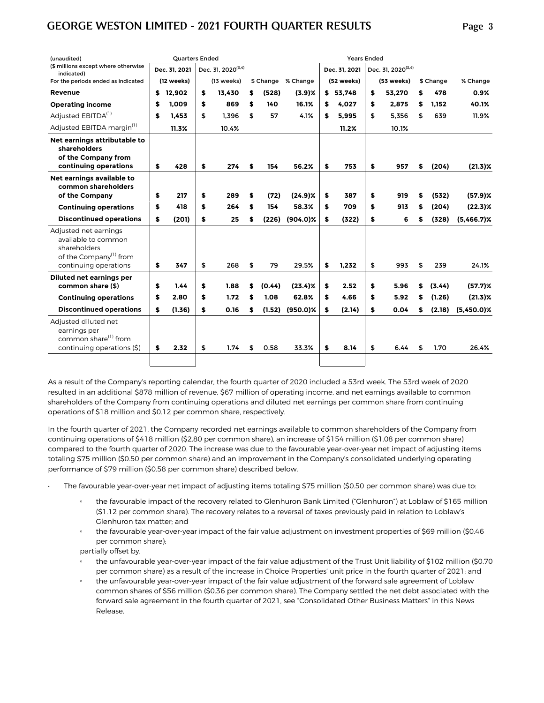| (unaudited)                                                                                                                 | <b>Quarters Ended</b> |                                |    |        |                    |     | <b>Years Ended</b> |                                |    |           |               |
|-----------------------------------------------------------------------------------------------------------------------------|-----------------------|--------------------------------|----|--------|--------------------|-----|--------------------|--------------------------------|----|-----------|---------------|
| (\$ millions except where otherwise<br>indicated)                                                                           | Dec. 31. 2021         | Dec. 31, 2020 <sup>(3,4)</sup> |    |        |                    |     | Dec. 31. 2021      | Dec. 31, 2020 <sup>(3,4)</sup> |    |           |               |
| For the periods ended as indicated                                                                                          | (12 weeks)            | (13 weeks)                     |    |        | \$ Change % Change |     | (52 weeks)         | (53 weeks)                     |    | \$ Change | % Change      |
| <b>Revenue</b>                                                                                                              | \$12,902              | \$<br>13.430                   | \$ | (528)  | $(3.9)$ %          |     | \$53.748           | \$<br>53,270                   | \$ | 478       | 0.9%          |
| <b>Operating income</b>                                                                                                     | \$<br>1.009           | \$<br>869                      | \$ | 140    | 16.1%              | \$  | 4,027              | \$<br>2,875                    | \$ | 1,152     | 40.1%         |
| Adjusted EBITDA <sup>(1)</sup>                                                                                              | \$<br>1,453           | \$<br>1.396                    | \$ | 57     | 4.1%               | \$  | 5.995              | \$<br>5.356                    | \$ | 639       | 11.9%         |
| Adjusted EBITDA margin <sup>(1)</sup>                                                                                       | 11.3%                 | 10.4%                          |    |        |                    |     | 11.2%              | 10.1%                          |    |           |               |
| Net earnings attributable to<br>shareholders<br>of the Company from<br>continuing operations                                | \$<br>428             | \$<br>274                      | \$ | 154    | 56.2%              | \$  | 753                | \$<br>957                      | \$ | (204)     | $(21.3)\%$    |
| Net earnings available to<br>common shareholders<br>of the Company                                                          | \$<br>217             | \$<br>289                      | \$ | (72)   | $(24.9)\%$         | \$  | 387                | \$<br>919                      | \$ | (532)     | $(57.9)$ %    |
|                                                                                                                             | \$<br>418             | \$<br>264                      | \$ | 154    | 58.3%              | S   | 709                | \$<br>913                      | \$ | (204)     | $(22.3)\%$    |
| <b>Continuing operations</b>                                                                                                |                       |                                |    |        |                    |     |                    |                                |    |           |               |
| <b>Discontinued operations</b>                                                                                              | \$<br>(201)           | \$<br>25                       | \$ | (226)  | $(904.0)\%$        | \$. | (322)              | \$<br>6                        | \$ | (328)     | $(5,466.7)\%$ |
| Adjusted net earnings<br>available to common<br>shareholders<br>of the Company <sup>(1)</sup> from<br>continuing operations | \$<br>347             | \$<br>268                      | \$ | 79     | 29.5%              | \$  | 1.232              | \$<br>993                      | \$ | 239       | 24.1%         |
| Diluted net earnings per                                                                                                    |                       |                                |    |        |                    |     |                    |                                |    |           |               |
| common share (\$)                                                                                                           | \$<br>1.44            | \$<br>1.88                     | \$ | (0.44) | $(23.4)\%$         | \$  | 2.52               | \$<br>5.96                     | \$ | (3.44)    | $(57.7)$ %    |
| <b>Continuing operations</b>                                                                                                | \$<br>2.80            | \$<br>1.72                     | S  | 1.08   | 62.8%              | s   | 4.66               | \$<br>5.92                     | S  | (1.26)    | $(21.3)\%$    |
| <b>Discontinued operations</b>                                                                                              | \$<br>(1.36)          | \$<br>0.16                     | \$ | (1.52) | $(950.0)\%$        | \$  | (2.14)             | \$<br>0.04                     | \$ | (2.18)    | $(5,450.0)\%$ |
| Adjusted diluted net<br>earnings per<br>common share <sup>(1)</sup> from<br>continuing operations (\$)                      | \$<br>2.32            | \$<br>1.74                     | \$ | 0.58   | 33.3%              | S   | 8.14               | \$<br>6.44                     | \$ | 1.70      | 26.4%         |
|                                                                                                                             |                       |                                |    |        |                    |     |                    |                                |    |           |               |

As a result of the Company's reporting calendar, the fourth quarter of 2020 included a 53rd week. The 53rd week of 2020 resulted in an additional \$878 million of revenue, \$67 million of operating income, and net earnings available to common shareholders of the Company from continuing operations and diluted net earnings per common share from continuing operations of \$18 million and \$0.12 per common share, respectively.

In the fourth quarter of 2021, the Company recorded net earnings available to common shareholders of the Company from continuing operations of \$418 million (\$2.80 per common share), an increase of \$154 million (\$1.08 per common share) compared to the fourth quarter of 2020. The increase was due to the favourable year-over-year net impact of adjusting items totaling \$75 million (\$0.50 per common share) and an improvement in the Company's consolidated underlying operating performance of \$79 million (\$0.58 per common share) described below.

- The favourable year-over-year net impact of adjusting items totaling \$75 million (\$0.50 per common share) was due to:
	- the favourable impact of the recovery related to Glenhuron Bank Limited ("Glenhuron") at Loblaw of \$165 million (\$1.12 per common share). The recovery relates to a reversal of taxes previously paid in relation to Loblaw's Glenhuron tax matter; and
	- the favourable year-over-year impact of the fair value adjustment on investment properties of \$69 million (\$0.46 per common share);
	- partially offset by,
	- the unfavourable year-over-year impact of the fair value adjustment of the Trust Unit liability of \$102 million (\$0.70 per common share) as a result of the increase in Choice Properties' unit price in the fourth quarter of 2021; and
	- the unfavourable year-over-year impact of the fair value adjustment of the forward sale agreement of Loblaw common shares of \$56 million (\$0.36 per common share). The Company settled the net debt associated with the forward sale agreement in the fourth quarter of 2021, see "Consolidated Other Business Matters" in this News Release.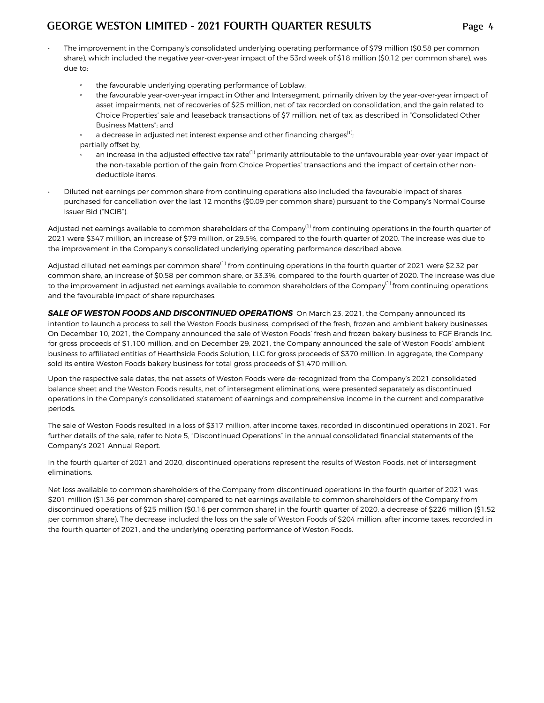- The improvement in the Company's consolidated underlying operating performance of \$79 million (\$0.58 per common share), which included the negative year-over-year impact of the 53rd week of \$18 million (\$0.12 per common share), was due to:
	- the favourable underlying operating performance of Loblaw;
	- the favourable year-over-year impact in Other and Intersegment, primarily driven by the year-over-year impact of asset impairments, net of recoveries of \$25 million, net of tax recorded on consolidation, and the gain related to Choice Properties' sale and leaseback transactions of \$7 million, net of tax, as described in "Consolidated Other Business Matters"; and
	- a decrease in adjusted net interest expense and other financing charges<sup>(1)</sup>; ;
	- partially offset by,
	- an increase in the adjusted effective tax rate<sup>(1)</sup> primarily attributable to the unfavourable year-over-year impact of the non-taxable portion of the gain from Choice Properties' transactions and the impact of certain other nondeductible items.
- Diluted net earnings per common share from continuing operations also included the favourable impact of shares purchased for cancellation over the last 12 months (\$0.09 per common share) pursuant to the Company's Normal Course Issuer Bid ("NCIB").

Adjusted net earnings available to common shareholders of the Company $^{(1)}$  from continuing operations in the fourth quarter of 2021 were \$347 million, an increase of \$79 million, or 29.5%, compared to the fourth quarter of 2020. The increase was due to the improvement in the Company's consolidated underlying operating performance described above.

Adjusted diluted net earnings per common share<sup>(1)</sup> from continuing operations in the fourth quarter of 2021 were \$2.32 per common share, an increase of \$0.58 per common share, or 33.3%, compared to the fourth quarter of 2020. The increase was due to the improvement in adjusted net earnings available to common shareholders of the Company $(1)$  from continuing operations and the favourable impact of share repurchases.

SALE OF WESTON FOODS AND DISCONTINUED OPERATIONS On March 23, 2021, the Company announced its intention to launch a process to sell the Weston Foods business, comprised of the fresh, frozen and ambient bakery businesses. On December 10, 2021, the Company announced the sale of Weston Foods' fresh and frozen bakery business to FGF Brands Inc. for gross proceeds of \$1,100 million, and on December 29, 2021, the Company announced the sale of Weston Foods' ambient business to affiliated entities of Hearthside Foods Solution, LLC for gross proceeds of \$370 million. In aggregate, the Company sold its entire Weston Foods bakery business for total gross proceeds of \$1,470 million.

Upon the respective sale dates, the net assets of Weston Foods were de-recognized from the Company's 2021 consolidated balance sheet and the Weston Foods results, net of intersegment eliminations, were presented separately as discontinued operations in the Company's consolidated statement of earnings and comprehensive income in the current and comparative periods.

The sale of Weston Foods resulted in a loss of \$317 million, after income taxes, recorded in discontinued operations in 2021. For further details of the sale, refer to Note 5, "Discontinued Operations" in the annual consolidated financial statements of the Company's 2021 Annual Report.

In the fourth quarter of 2021 and 2020, discontinued operations represent the results of Weston Foods, net of intersegment eliminations.

Net loss available to common shareholders of the Company from discontinued operations in the fourth quarter of 2021 was \$201 million (\$1.36 per common share) compared to net earnings available to common shareholders of the Company from discontinued operations of \$25 million (\$0.16 per common share) in the fourth quarter of 2020, a decrease of \$226 million (\$1.52 per common share). The decrease included the loss on the sale of Weston Foods of \$204 million, after income taxes, recorded in the fourth quarter of 2021, and the underlying operating performance of Weston Foods.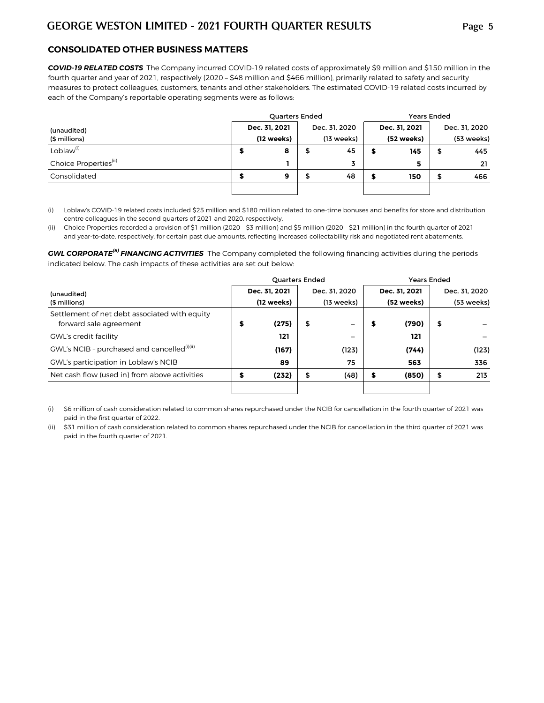#### **CONSOLIDATED OTHER BUSINESS MATTERS**

*COVID-19 RELATED COSTS*The Company incurred COVID-19 related costs of approximately \$9 million and \$150 million in the fourth quarter and year of 2021, respectively (2020 – \$48 million and \$466 million), primarily related to safety and security measures to protect colleagues, customers, tenants and other stakeholders. The estimated COVID-19 related costs incurred by each of the Company's reportable operating segments were as follows:

|                                   |   | <b>Quarters Ended</b> |               | <b>Years Ended</b> |               |
|-----------------------------------|---|-----------------------|---------------|--------------------|---------------|
| (unaudited)                       |   | Dec. 31, 2021         | Dec. 31, 2020 | Dec. 31, 2021      | Dec. 31, 2020 |
| (\$ millions)                     |   | (12 weeks)            | (13 weeks)    | (52 weeks)         | (53 weeks)    |
| Loblaw <sup>(i)</sup>             | 5 | 8                     | 45            | 145                | \$<br>445     |
| Choice Properties <sup>(ii)</sup> |   |                       | 3             | 5                  | 21            |
| Consolidated                      | s | 9                     | 48            | 150                | \$<br>466     |
|                                   |   |                       |               |                    |               |

(i) Loblaw's COVID-19 related costs included \$25 million and \$180 million related to one-time bonuses and benefits for store and distribution centre colleagues in the second quarters of 2021 and 2020, respectively.

(ii) Choice Properties recorded a provision of \$1 million (2020 – \$3 million) and \$5 million (2020 – \$21 million) in the fourth quarter of 2021 and year-to-date, respectively, for certain past due amounts, reflecting increased collectability risk and negotiated rent abatements.

*GWL CORPORATE(5) FINANCING ACTIVITIES* The Company completed the following financing activities during the periods indicated below. The cash impacts of these activities are set out below:

|                                                                         |            | <b>Years Ended</b> |                      |               |    |               |
|-------------------------------------------------------------------------|------------|--------------------|----------------------|---------------|----|---------------|
| (unaudited)                                                             |            | Dec. 31. 2021      | Dec. 31, 2020        | Dec. 31. 2021 |    | Dec. 31, 2020 |
| (\$ millions)                                                           | (12 weeks) |                    | $(13 \text{ weeks})$ | (52 weeks)    |    | (53 weeks)    |
| Settlement of net debt associated with equity<br>forward sale agreement | \$         | (275)              | \$<br>—              | (790)         | \$ |               |
| <b>GWL's credit facility</b>                                            |            | 121                |                      | 121           |    |               |
| GWL's NCIB - purchased and cancelled <sup>(i)(ii)</sup>                 |            | (167)              | (123)                | (744)         |    | (123)         |
| GWL's participation in Loblaw's NCIB                                    |            | 89                 | 75                   | 563           |    | 336           |
| Net cash flow (used in) from above activities                           | \$         | (232)              | \$<br>(48)           | (850)         | \$ | 213           |
|                                                                         |            |                    |                      |               |    |               |

(i) \$6 million of cash consideration related to common shares repurchased under the NCIB for cancellation in the fourth quarter of 2021 was paid in the first quarter of 2022.

(ii) \$31 million of cash consideration related to common shares repurchased under the NCIB for cancellation in the third quarter of 2021 was paid in the fourth quarter of 2021.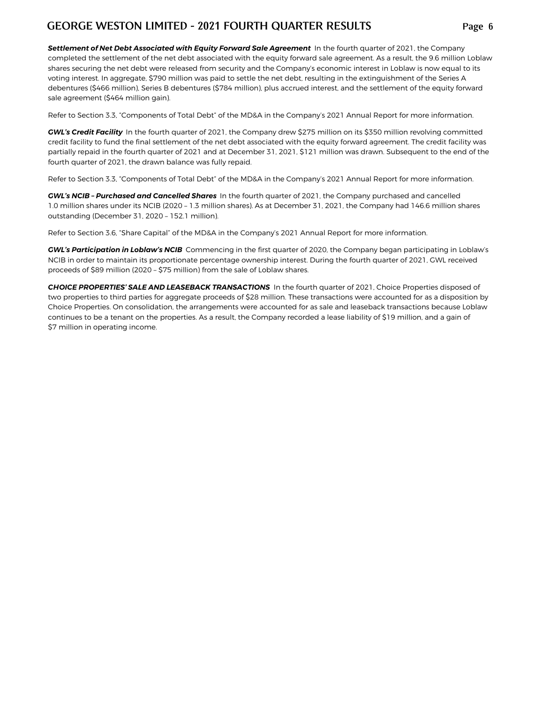Settlement of Net Debt Associated with Equity Forward Sale Agreement In the fourth quarter of 2021, the Company completed the settlement of the net debt associated with the equity forward sale agreement. As a result, the 9.6 million Loblaw shares securing the net debt were released from security and the Company's economic interest in Loblaw is now equal to its voting interest. In aggregate, \$790 million was paid to settle the net debt, resulting in the extinguishment of the Series A debentures (\$466 million), Series B debentures (\$784 million), plus accrued interest, and the settlement of the equity forward sale agreement (\$464 million gain).

Refer to Section 3.3, "Components of Total Debt" of the MD&A in the Company's 2021 Annual Report for more information.

*GWL's Credit Facility* In the fourth quarter of 2021, the Company drew \$275 million on its \$350 million revolving committed credit facility to fund the final settlement of the net debt associated with the equity forward agreement. The credit facility was partially repaid in the fourth quarter of 2021 and at December 31, 2021, \$121 million was drawn. Subsequent to the end of the fourth quarter of 2021, the drawn balance was fully repaid.

Refer to Section 3.3, "Components of Total Debt" of the MD&A in the Company's 2021 Annual Report for more information.

*GWL's NCIB – Purchased and Cancelled Shares* In the fourth quarter of 2021, the Company purchased and cancelled 1.0 million shares under its NCIB (2020 – 1.3 million shares). As at December 31, 2021, the Company had 146.6 million shares outstanding (December 31, 2020 – 152.1 million).

Refer to Section 3.6, "Share Capital" of the MD&A in the Company's 2021 Annual Report for more information.

*GWL's Participation in Loblaw's NCIB* Commencing in the first quarter of 2020, the Company began participating in Loblaw's NCIB in order to maintain its proportionate percentage ownership interest. During the fourth quarter of 2021, GWL received proceeds of \$89 million (2020 – \$75 million) from the sale of Loblaw shares.

*CHOICE PROPERTIES' SALE AND LEASEBACK TRANSACTIONS* In the fourth quarter of 2021, Choice Properties disposed of two properties to third parties for aggregate proceeds of \$28 million. These transactions were accounted for as a disposition by Choice Properties. On consolidation, the arrangements were accounted for as sale and leaseback transactions because Loblaw continues to be a tenant on the properties. As a result, the Company recorded a lease liability of \$19 million, and a gain of \$7 million in operating income.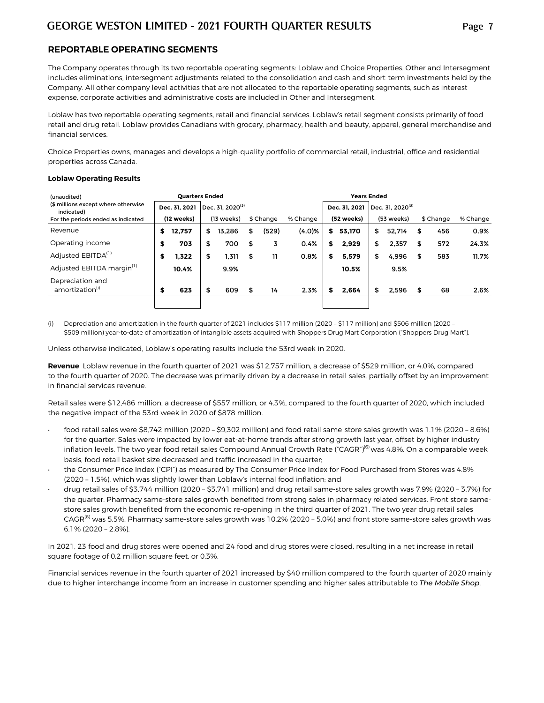#### **REPORTABLE OPERATING SEGMENTS**

The Company operates through its two reportable operating segments: Loblaw and Choice Properties. Other and Intersegment includes eliminations, intersegment adjustments related to the consolidation and cash and short-term investments held by the Company. All other company level activities that are not allocated to the reportable operating segments, such as interest expense, corporate activities and administrative costs are included in Other and Intersegment.

Loblaw has two reportable operating segments, retail and financial services. Loblaw's retail segment consists primarily of food retail and drug retail. Loblaw provides Canadians with grocery, pharmacy, health and beauty, apparel, general merchandise and financial services.

Choice Properties owns, manages and develops a high-quality portfolio of commercial retail, industrial, office and residential properties across Canada.

#### **Loblaw Operating Results**

| (unaudited)                                       |   |               | <b>Ouarters Ended</b> |                              |    |           |           |   | <b>Years Ended</b> |                                |    |           |          |
|---------------------------------------------------|---|---------------|-----------------------|------------------------------|----|-----------|-----------|---|--------------------|--------------------------------|----|-----------|----------|
| (\$ millions except where otherwise<br>indicated) |   | Dec. 31. 2021 |                       | Dec. 31. 2020 <sup>(3)</sup> |    |           |           |   | Dec. 31. 2021      | $\vert$ Dec. 31. 2020 $^{(3)}$ |    |           |          |
| For the periods ended as indicated                |   | (12 weeks)    |                       | (13 weeks)                   |    | \$ Change | % Change  |   | (52 weeks)         | (53 weeks)                     |    | \$ Change | % Change |
| Revenue                                           | s | 12.757        | \$                    | 13.286                       | \$ | (529)     | $(4.0)$ % | s | 53.170             | \$<br>52.714                   | S  | 456       | 0.9%     |
| Operating income                                  | S | 703           | \$                    | 700                          | \$ | 3         | 0.4%      | s | 2.929              | \$<br>2.357                    | S  | 572       | 24.3%    |
| Adjusted EBITDA <sup>(1)</sup>                    | S | 1.322         | \$                    | 1,311                        | \$ | 11        | 0.8%      | s | 5.579              | \$<br>4,996                    | \$ | 583       | 11.7%    |
| Adjusted EBITDA margin <sup>(1)</sup>             |   | 10.4%         |                       | 9.9%                         |    |           |           |   | 10.5%              | 9.5%                           |    |           |          |
| Depreciation and<br>amortization(i)               | S | 623           | \$                    | 609                          | \$ | 14        | 2.3%      | S | 2.664              | \$<br>2.596                    | S  | 68        | 2.6%     |
|                                                   |   |               |                       |                              |    |           |           |   |                    |                                |    |           |          |

(i) Depreciation and amortization in the fourth quarter of 2021 includes \$117 million (2020 – \$117 million) and \$506 million (2020 – \$509 million) year-to-date of amortization of intangible assets acquired with Shoppers Drug Mart Corporation ("Shoppers Drug Mart").

Unless otherwise indicated, Loblaw's operating results include the 53rd week in 2020.

**Revenue** Loblaw revenue in the fourth quarter of 2021 was \$12,757 million, a decrease of \$529 million, or 4.0%, compared to the fourth quarter of 2020. The decrease was primarily driven by a decrease in retail sales, partially offset by an improvement in financial services revenue.

Retail sales were \$12,486 million, a decrease of \$557 million, or 4.3%, compared to the fourth quarter of 2020, which included the negative impact of the 53rd week in 2020 of \$878 million.

- *•* food retail sales were \$8,742 million (2020 \$9,302 million) and food retail same-store sales growth was 1.1% (2020 8.6%) for the quarter. Sales were impacted by lower eat-at-home trends after strong growth last year, offset by higher industry inflation levels. The two year food retail sales Compound Annual Growth Rate ("CAGR")<sup>(6)</sup> was 4.8%. On a comparable week basis, food retail basket size decreased and traffic increased in the quarter;
- the Consumer Price Index ("CPI") as measured by The Consumer Price Index for Food Purchased from Stores was 4.8% (2020 – 1.5%), which was slightly lower than Loblaw's internal food inflation; and
- *•* drug retail sales of \$3,744 million (2020 \$3,741 million) and drug retail same-store sales growth was 7.9% (2020 3.7%) for the quarter. Pharmacy same-store sales growth benefited from strong sales in pharmacy related services. Front store samestore sales growth benefited from the economic re-opening in the third quarter of 2021. The two year drug retail sales CAGR<sup>(6)</sup> was 5.5%. Pharmacy same-store sales growth was 10.2% (2020 - 5.0%) and front store same-store sales growth was 6.1% (2020 – 2.8%).

In 2021, 23 food and drug stores were opened and 24 food and drug stores were closed, resulting in a net increase in retail square footage of 0.2 million square feet, or 0.3%.

Financial services revenue in the fourth quarter of 2021 increased by \$40 million compared to the fourth quarter of 2020 mainly due to higher interchange income from an increase in customer spending and higher sales attributable to *The Mobile Shop*.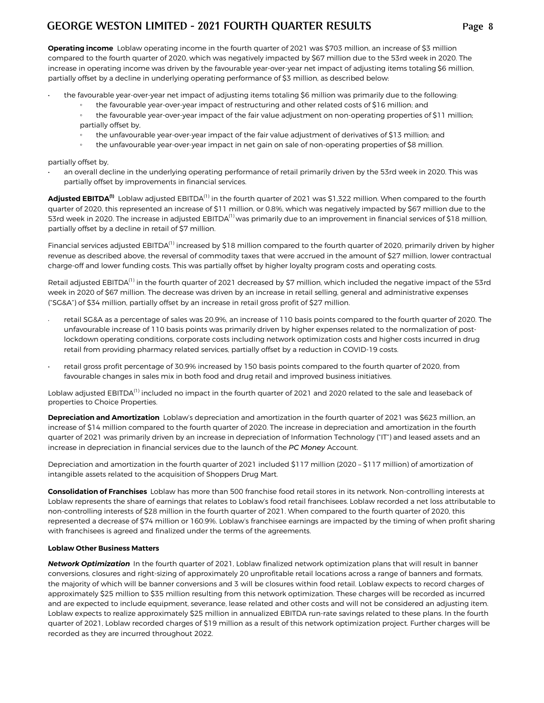**Operating income** Loblaw operating income in the fourth quarter of 2021 was \$703 million, an increase of \$3 million compared to the fourth quarter of 2020, which was negatively impacted by \$67 million due to the 53rd week in 2020. The increase in operating income was driven by the favourable year-over-year net impact of adjusting items totaling \$6 million, partially offset by a decline in underlying operating performance of \$3 million, as described below:

- the favourable year-over-year net impact of adjusting items totaling \$6 million was primarily due to the following:
	- the favourable year-over-year impact of restructuring and other related costs of \$16 million; and
	- the favourable year-over-year impact of the fair value adjustment on non-operating properties of \$11 million; partially offset by,
	- the unfavourable year-over-year impact of the fair value adjustment of derivatives of \$13 million; and
	- the unfavourable year-over-year impact in net gain on sale of non-operating properties of \$8 million.

partially offset by,

• an overall decline in the underlying operating performance of retail primarily driven by the 53rd week in 2020. This was partially offset by improvements in financial services.

**Adjusted EBITDA(1)** Loblaw adjusted EBITDA(1) in the fourth quarter of 2021 was \$1,322 million. When compared to the fourth quarter of 2020, this represented an increase of \$11 million, or 0.8%, which was negatively impacted by \$67 million due to the 53rd week in 2020. The increase in adjusted EBITDA<sup>(1)</sup> was primarily due to an improvement in financial services of \$18 million, partially offset by a decline in retail of \$7 million.

Financial services adjusted EBITDA<sup>(1)</sup> increased by \$18 million compared to the fourth quarter of 2020, primarily driven by higher revenue as described above, the reversal of commodity taxes that were accrued in the amount of \$27 million, lower contractual charge-off and lower funding costs. This was partially offset by higher loyalty program costs and operating costs.

Retail adjusted EBITDA<sup>(1)</sup> in the fourth quarter of 2021 decreased by \$7 million, which included the negative impact of the 53rd week in 2020 of \$67 million. The decrease was driven by an increase in retail selling, general and administrative expenses ("SG&A") of \$34 million, partially offset by an increase in retail gross profit of \$27 million.

- retail SG&A as a percentage of sales was 20.9%, an increase of 110 basis points compared to the fourth quarter of 2020. The unfavourable increase of 110 basis points was primarily driven by higher expenses related to the normalization of postlockdown operating conditions, corporate costs including network optimization costs and higher costs incurred in drug retail from providing pharmacy related services, partially offset by a reduction in COVID-19 costs.
- retail gross profit percentage of 30.9% increased by 150 basis points compared to the fourth quarter of 2020, from favourable changes in sales mix in both food and drug retail and improved business initiatives.

Loblaw adjusted EBITDA<sup>(1)</sup> included no impact in the fourth quarter of 2021 and 2020 related to the sale and leaseback of properties to Choice Properties.

**Depreciation and Amortization** Loblaw's depreciation and amortization in the fourth quarter of 2021 was \$623 million, an increase of \$14 million compared to the fourth quarter of 2020. The increase in depreciation and amortization in the fourth quarter of 2021 was primarily driven by an increase in depreciation of Information Technology ("IT") and leased assets and an increase in depreciation in financial services due to the launch of the *PC Money* Account.

Depreciation and amortization in the fourth quarter of 2021 included \$117 million (2020 – \$117 million) of amortization of intangible assets related to the acquisition of Shoppers Drug Mart.

**Consolidation of Franchises** Loblaw has more than 500 franchise food retail stores in its network. Non-controlling interests at Loblaw represents the share of earnings that relates to Loblaw's food retail franchisees. Loblaw recorded a net loss attributable to non-controlling interests of \$28 million in the fourth quarter of 2021. When compared to the fourth quarter of 2020, this represented a decrease of \$74 million or 160.9%. Loblaw's franchisee earnings are impacted by the timing of when profit sharing with franchisees is agreed and finalized under the terms of the agreements.

#### **Loblaw Other Business Matters**

*Network Optimization* In the fourth quarter of 2021, Loblaw finalized network optimization plans that will result in banner conversions, closures and right-sizing of approximately 20 unprofitable retail locations across a range of banners and formats, the majority of which will be banner conversions and 3 will be closures within food retail. Loblaw expects to record charges of approximately \$25 million to \$35 million resulting from this network optimization. These charges will be recorded as incurred and are expected to include equipment, severance, lease related and other costs and will not be considered an adjusting item. Loblaw expects to realize approximately \$25 million in annualized EBITDA run-rate savings related to these plans. In the fourth quarter of 2021, Loblaw recorded charges of \$19 million as a result of this network optimization project. Further charges will be recorded as they are incurred throughout 2022.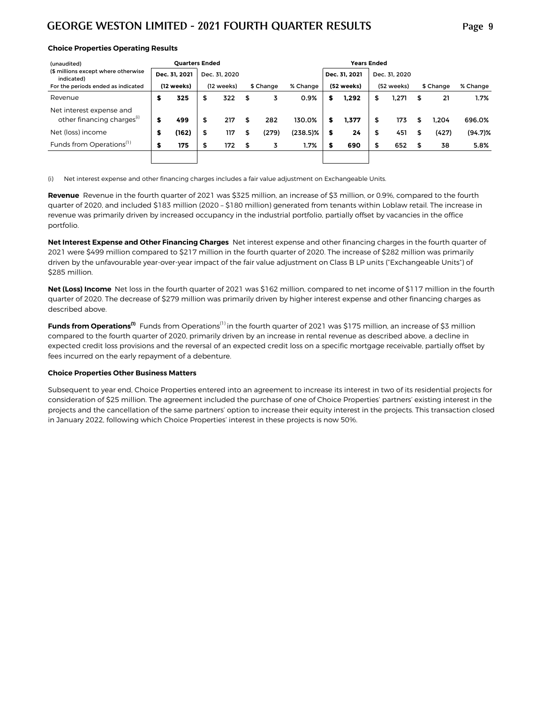| (unaudited)                                                        |               | <b>Ouarters Ended</b> |               |    |           |             |   | <b>Years Ended</b> |               |    |           |            |
|--------------------------------------------------------------------|---------------|-----------------------|---------------|----|-----------|-------------|---|--------------------|---------------|----|-----------|------------|
| (\$ millions except where otherwise<br>indicated)                  | Dec. 31, 2021 |                       | Dec. 31, 2020 |    |           |             |   | Dec. 31. 2021      | Dec. 31, 2020 |    |           |            |
| For the periods ended as indicated                                 | (12 weeks)    |                       | (12 weeks)    |    | \$ Change | % Change    |   | (52 weeks)         | (52 weeks)    |    | \$ Change | % Change   |
| Revenue                                                            | \$<br>325     | \$                    | 322           | \$ | 3         | 0.9%        | s | 1.292              | \$<br>1.271   | \$ | 21        | 1.7%       |
| Net interest expense and<br>other financing charges <sup>(i)</sup> | \$<br>499     | \$                    | 217           | \$ | 282       | 130.0%      | S | 1.377              | \$<br>173     | S  | 1.204     | 696.0%     |
| Net (loss) income                                                  | \$<br>(162)   | \$                    | 117           | S  | (279)     | $(238.5)\%$ | s | 24                 | \$<br>451     | S  | (427)     | $(94.7)\%$ |
| Funds from Operations <sup>(1)</sup>                               | \$<br>175     | \$                    | 172           | \$ | 3         | 1.7%        | S | 690                | \$<br>652     | \$ | 38        | 5.8%       |
|                                                                    |               |                       |               |    |           |             |   |                    |               |    |           |            |

(i) Net interest expense and other financing charges includes a fair value adjustment on Exchangeable Units.

Revenue Revenue in the fourth quarter of 2021 was \$325 million, an increase of \$3 million, or 0.9%, compared to the fourth quarter of 2020, and included \$183 million (2020 – \$180 million) generated from tenants within Loblaw retail. The increase in revenue was primarily driven by increased occupancy in the industrial portfolio, partially offset by vacancies in the office portfolio.

**Net Interest Expense and Other Financing Charges** Net interest expense and other financing charges in the fourth quarter of 2021 were \$499 million compared to \$217 million in the fourth quarter of 2020. The increase of \$282 million was primarily driven by the unfavourable year-over-year impact of the fair value adjustment on Class B LP units ("Exchangeable Units") of \$285 million.

**Net (Loss) Income** Net loss in the fourth quarter of 2021 was \$162 million, compared to net income of \$117 million in the fourth quarter of 2020. The decrease of \$279 million was primarily driven by higher interest expense and other financing charges as described above.

**Funds from Operations<sup>(1)</sup>** Funds from Operations<sup>(1)</sup> in the fourth quarter of 2021 was \$175 million, an increase of \$3 million compared to the fourth quarter of 2020, primarily driven by an increase in rental revenue as described above, a decline in expected credit loss provisions and the reversal of an expected credit loss on a specific mortgage receivable, partially offset by fees incurred on the early repayment of a debenture.

#### **Choice Properties Other Business Matters**

Subsequent to year end, Choice Properties entered into an agreement to increase its interest in two of its residential projects for consideration of \$25 million. The agreement included the purchase of one of Choice Properties' partners' existing interest in the projects and the cancellation of the same partners' option to increase their equity interest in the projects. This transaction closed in January 2022, following which Choice Properties' interest in these projects is now 50%.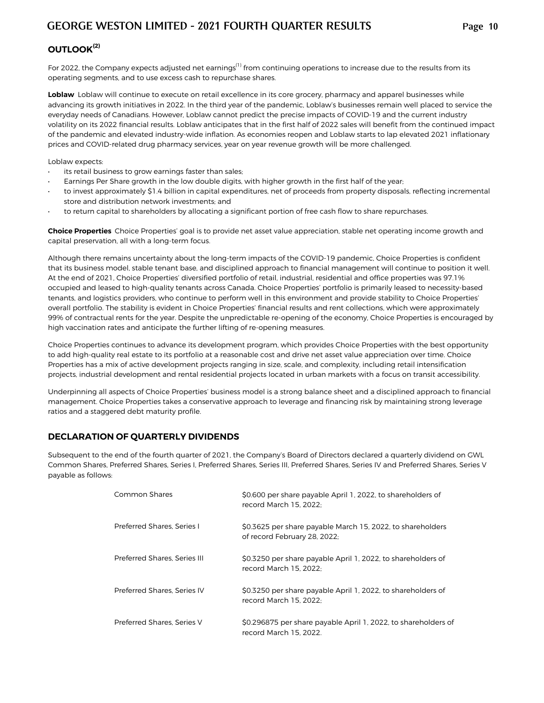# **OUTLOOK(2)**

For 2022, the Company expects adjusted net earnings<sup>(1)</sup> from continuing operations to increase due to the results from its operating segments, and to use excess cash to repurchase shares.

Loblaw Loblaw will continue to execute on retail excellence in its core grocery, pharmacy and apparel businesses while advancing its growth initiatives in 2022. In the third year of the pandemic, Loblaw's businesses remain well placed to service the everyday needs of Canadians. However, Loblaw cannot predict the precise impacts of COVID-19 and the current industry volatility on its 2022 financial results. Loblaw anticipates that in the first half of 2022 sales will benefit from the continued impact of the pandemic and elevated industry-wide inflation. As economies reopen and Loblaw starts to lap elevated 2021 inflationary prices and COVID-related drug pharmacy services, year on year revenue growth will be more challenged.

Loblaw expects:

- its retail business to grow earnings faster than sales;
- Earnings Per Share growth in the low double digits, with higher growth in the first half of the year;
- to invest approximately \$1.4 billion in capital expenditures, net of proceeds from property disposals, reflecting incremental store and distribution network investments; and
- to return capital to shareholders by allocating a significant portion of free cash flow to share repurchases.

**Choice Properties** Choice Properties' goal is to provide net asset value appreciation, stable net operating income growth and capital preservation, all with a long-term focus.

Although there remains uncertainty about the long-term impacts of the COVID-19 pandemic, Choice Properties is confident that its business model, stable tenant base, and disciplined approach to financial management will continue to position it well. At the end of 2021, Choice Properties' diversified portfolio of retail, industrial, residential and office properties was 97.1% occupied and leased to high-quality tenants across Canada. Choice Properties' portfolio is primarily leased to necessity-based tenants, and logistics providers, who continue to perform well in this environment and provide stability to Choice Properties' overall portfolio. The stability is evident in Choice Properties' financial results and rent collections, which were approximately 99% of contractual rents for the year. Despite the unpredictable re-opening of the economy, Choice Properties is encouraged by high vaccination rates and anticipate the further lifting of re-opening measures.

Choice Properties continues to advance its development program, which provides Choice Properties with the best opportunity to add high-quality real estate to its portfolio at a reasonable cost and drive net asset value appreciation over time. Choice Properties has a mix of active development projects ranging in size, scale, and complexity, including retail intensification projects, industrial development and rental residential projects located in urban markets with a focus on transit accessibility.

Underpinning all aspects of Choice Properties' business model is a strong balance sheet and a disciplined approach to financial management. Choice Properties takes a conservative approach to leverage and financing risk by maintaining strong leverage ratios and a staggered debt maturity profile.

### **DECLARATION OF QUARTERLY DIVIDENDS**

Subsequent to the end of the fourth quarter of 2021, the Company's Board of Directors declared a quarterly dividend on GWL Common Shares, Preferred Shares, Series I, Preferred Shares, Series III, Preferred Shares, Series IV and Preferred Shares, Series V payable as follows:

| Common Shares                | \$0.600 per share payable April 1, 2022, to shareholders of<br>record March 15, 2022:      |
|------------------------------|--------------------------------------------------------------------------------------------|
| Preferred Shares, Series I   | \$0.3625 per share payable March 15, 2022, to shareholders<br>of record February 28, 2022; |
| Preferred Shares, Series III | \$0.3250 per share payable April 1, 2022, to shareholders of<br>record March 15, 2022:     |
| Preferred Shares, Series IV  | \$0.3250 per share payable April 1, 2022, to shareholders of<br>record March 15, 2022:     |
| Preferred Shares, Series V   | \$0.296875 per share payable April 1, 2022, to shareholders of<br>record March 15, 2022.   |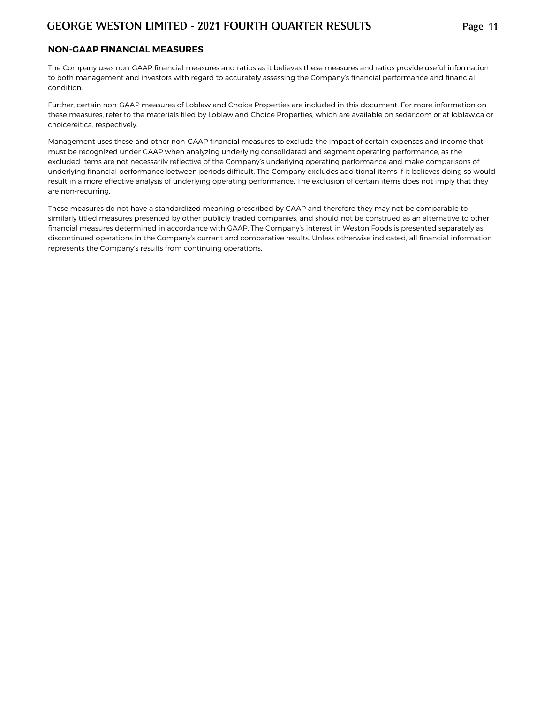#### **NON-GAAP FINANCIAL MEASURES**

The Company uses non-GAAP financial measures and ratios as it believes these measures and ratios provide useful information to both management and investors with regard to accurately assessing the Company's financial performance and financial condition.

Further, certain non-GAAP measures of Loblaw and Choice Properties are included in this document. For more information on these measures, refer to the materials filed by Loblaw and Choice Properties, which are available on sedar.com or at loblaw.ca or choicereit.ca, respectively.

Management uses these and other non-GAAP financial measures to exclude the impact of certain expenses and income that must be recognized under GAAP when analyzing underlying consolidated and segment operating performance, as the excluded items are not necessarily reflective of the Company's underlying operating performance and make comparisons of underlying financial performance between periods difficult. The Company excludes additional items if it believes doing so would result in a more effective analysis of underlying operating performance. The exclusion of certain items does not imply that they are non-recurring.

These measures do not have a standardized meaning prescribed by GAAP and therefore they may not be comparable to similarly titled measures presented by other publicly traded companies, and should not be construed as an alternative to other financial measures determined in accordance with GAAP. The Company's interest in Weston Foods is presented separately as discontinued operations in the Company's current and comparative results. Unless otherwise indicated, all financial information represents the Company's results from continuing operations.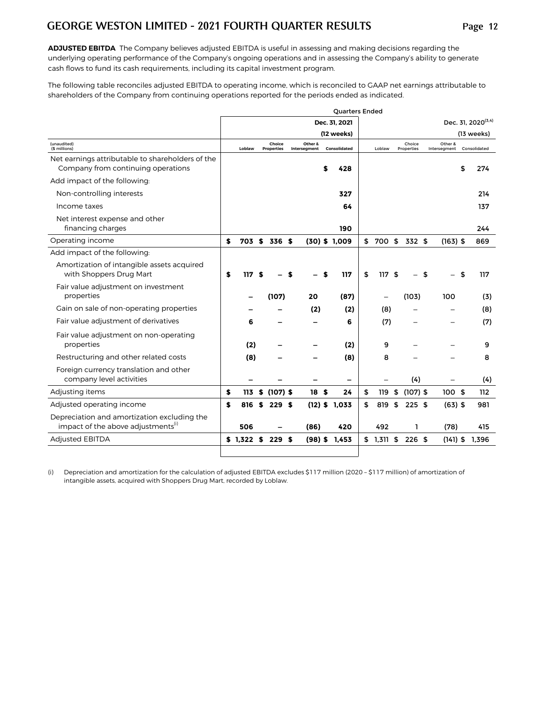**ADJUSTED EBITDA** The Company believes adjusted EBITDA is useful in assessing and making decisions regarding the underlying operating performance of the Company's ongoing operations and in assessing the Company's ability to generate cash flows to fund its cash requirements, including its capital investment program.

The following table reconciles adjusted EBITDA to operating income, which is reconciled to GAAP net earnings attributable to shareholders of the Company from continuing operations reported for the periods ended as indicated.

|                                                                                               |    |             |    |                             |                         | <b>Ouarters Ended</b> |                  |                      |                         |                                |
|-----------------------------------------------------------------------------------------------|----|-------------|----|-----------------------------|-------------------------|-----------------------|------------------|----------------------|-------------------------|--------------------------------|
|                                                                                               |    |             |    |                             |                         | Dec. 31, 2021         |                  |                      |                         | Dec. 31, 2020 <sup>(3,4)</sup> |
|                                                                                               |    |             |    |                             |                         | (12 weeks)            |                  |                      |                         | (13 weeks)                     |
| (unaudited)<br>(\$ millions)                                                                  |    | Loblaw      |    | Choice<br><b>Properties</b> | Other &<br>Intersegment | Consolidated          | Loblaw           | Choice<br>Properties | Other &<br>Intersegment | Consolidated                   |
| Net earnings attributable to shareholders of the                                              |    |             |    |                             |                         |                       |                  |                      |                         |                                |
| Company from continuing operations                                                            |    |             |    |                             |                         | \$<br>428             |                  |                      |                         | \$<br>274                      |
| Add impact of the following:                                                                  |    |             |    |                             |                         |                       |                  |                      |                         |                                |
| Non-controlling interests                                                                     |    |             |    |                             |                         | 327                   |                  |                      |                         | 214                            |
| Income taxes                                                                                  |    |             |    |                             |                         | 64                    |                  |                      |                         | 137                            |
| Net interest expense and other                                                                |    |             |    |                             |                         |                       |                  |                      |                         |                                |
| financing charges                                                                             |    |             |    |                             |                         | 190                   |                  |                      |                         | 244                            |
| Operating income                                                                              | \$ |             |    | 703 \$ 336 \$               |                         | $(30)$ \$ 1,009       | \$<br>700 \$     | 332 \$               | $(163)$ \$              | 869                            |
| Add impact of the following:                                                                  |    |             |    |                             |                         |                       |                  |                      |                         |                                |
| Amortization of intangible assets acquired<br>with Shoppers Drug Mart                         | S  | 117         | £. |                             |                         | 117                   | \$<br>117 S      |                      | \$                      | \$<br>117                      |
| Fair value adjustment on investment<br>properties                                             |    |             |    | (107)                       | 20                      | (87)                  |                  | (103)                | 100                     | (3)                            |
| Gain on sale of non-operating properties                                                      |    |             |    |                             | (2)                     | (2)                   | (8)              |                      |                         | (8)                            |
| Fair value adjustment of derivatives                                                          |    | 6           |    |                             |                         | 6                     | (7)              |                      |                         | (7)                            |
| Fair value adjustment on non-operating<br>properties                                          |    | (2)         |    |                             |                         | (2)                   | 9                |                      |                         | 9                              |
| Restructuring and other related costs                                                         |    | (8)         |    |                             |                         | (8)                   | 8                |                      |                         | 8                              |
| Foreign currency translation and other                                                        |    |             |    |                             |                         |                       |                  |                      |                         |                                |
| company level activities                                                                      |    |             |    |                             |                         | -                     |                  | (4)                  |                         | (4)                            |
| Adjusting items                                                                               | \$ | 113         | \$ | $(107)$ \$                  | 18 <sub>5</sub>         | 24                    | \$<br>119        | \$<br>$(107)$ \$     | 100S                    | 112                            |
| Adjusted operating income                                                                     | \$ | 816         | S. | 229S                        |                         | $(12)$ \$ 1,033       | \$<br>819        | \$<br>225S           | $(63)$ \$               | 981                            |
| Depreciation and amortization excluding the<br>impact of the above adjustments <sup>(i)</sup> |    | 506         |    |                             | (86)                    | 420                   | 492              | ı                    | (78)                    | 415                            |
| <b>Adjusted EBITDA</b>                                                                        |    | $$1,322$ \$ |    | 229S                        | $(98)$ \$               | 1.453                 | \$<br>$1,311$ \$ | 226S                 | $(141)$ \$              | 1.396                          |
|                                                                                               |    |             |    |                             |                         |                       |                  |                      |                         |                                |

(i) Depreciation and amortization for the calculation of adjusted EBITDA excludes \$117 million (2020 – \$117 million) of amortization of intangible assets, acquired with Shoppers Drug Mart, recorded by Loblaw.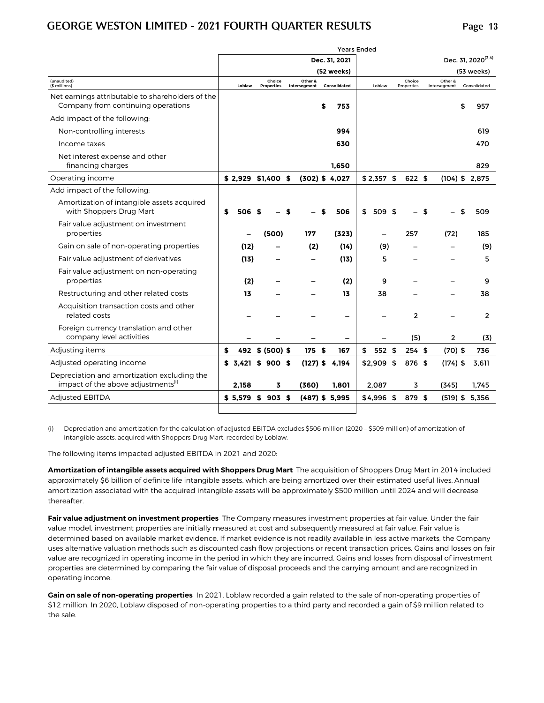|                                                                                               |                     |                             |                         |   | <b>Years Ended</b> |                          |                      |     |                         |                                |
|-----------------------------------------------------------------------------------------------|---------------------|-----------------------------|-------------------------|---|--------------------|--------------------------|----------------------|-----|-------------------------|--------------------------------|
|                                                                                               |                     |                             |                         |   | Dec. 31, 2021      |                          |                      |     |                         | Dec. 31, 2020 <sup>(3,4)</sup> |
|                                                                                               |                     |                             |                         |   | (52 weeks)         |                          |                      |     |                         | (53 weeks)                     |
| (unaudited)<br>(\$ millions)                                                                  | Loblaw              | Choice<br><b>Properties</b> | Other &<br>Intersegment |   | Consolidated       | Loblaw                   | Choice<br>Properties |     | Other &<br>Intersegment | Consolidated                   |
| Net earnings attributable to shareholders of the<br>Company from continuing operations        |                     |                             |                         | S | 753                |                          |                      |     |                         | \$<br>957                      |
| Add impact of the following:                                                                  |                     |                             |                         |   |                    |                          |                      |     |                         |                                |
| Non-controlling interests                                                                     |                     |                             |                         |   | 994                |                          |                      |     |                         | 619                            |
| Income taxes                                                                                  |                     |                             |                         |   | 630                |                          |                      |     |                         | 470                            |
| Net interest expense and other<br>financing charges                                           |                     |                             |                         |   | 1,650              |                          |                      |     |                         | 829                            |
| Operating income                                                                              | $$2,929$ \$1,400 \$ |                             |                         |   | $(302)$ \$ 4,027   | $$2,357$ \$              | 622 \$               |     |                         | $(104)$ \$ 2,875               |
| Add impact of the following:                                                                  |                     |                             |                         |   |                    |                          |                      |     |                         |                                |
| Amortization of intangible assets acquired<br>with Shoppers Drug Mart                         | \$<br>506           |                             |                         |   | 506                | \$<br>509 \$             |                      | -\$ |                         | \$<br>509                      |
| Fair value adjustment on investment<br>properties                                             |                     | (500)                       | 177                     |   | (323)              | $\overline{\phantom{0}}$ | 257                  |     | (72)                    | 185                            |
| Gain on sale of non-operating properties                                                      | (12)                |                             | (2)                     |   | (14)               | (9)                      |                      |     |                         | (9)                            |
| Fair value adjustment of derivatives                                                          | (13)                |                             |                         |   | (13)               | 5                        |                      |     |                         | 5                              |
| Fair value adjustment on non-operating<br>properties                                          | (2)                 |                             |                         |   | (2)                | 9                        |                      |     |                         | 9                              |
| Restructuring and other related costs                                                         | 13                  |                             |                         |   | 13                 | 38                       |                      |     |                         | 38                             |
| Acquisition transaction costs and other<br>related costs                                      |                     |                             |                         |   |                    |                          | $\overline{2}$       |     |                         | $\overline{2}$                 |
| Foreign currency translation and other<br>company level activities                            |                     |                             |                         |   |                    |                          | (5)                  |     | 2                       | (3)                            |
| Adjusting items                                                                               | \$                  | 492 \$ (500) \$             | 175 \$                  |   | 167                | \$<br>552 \$             | 254S                 |     | $(70)$ \$               | 736                            |
| Adjusted operating income                                                                     | \$3.421\$900\$      |                             | $(127)$ \$              |   | 4.194              | $$2,909$ \$              | 876 \$               |     | $(174)$ \$              | 3.611                          |
| Depreciation and amortization excluding the<br>impact of the above adjustments <sup>(i)</sup> | 2,158               | 3                           | (360)                   |   | 1.801              | 2,087                    | 3                    |     | (345)                   | 1.745                          |
| <b>Adjusted EBITDA</b>                                                                        | \$5,579             | \$903\$                     |                         |   | $(487)$ \$ 5,995   | \$4,996 \$               | 879 \$               |     |                         | $(519)$ \$ 5,356               |
|                                                                                               |                     |                             |                         |   |                    |                          |                      |     |                         |                                |

(i) Depreciation and amortization for the calculation of adjusted EBITDA excludes \$506 million (2020 – \$509 million) of amortization of intangible assets, acquired with Shoppers Drug Mart, recorded by Loblaw.

The following items impacted adjusted EBITDA in 2021 and 2020:

**Amortization of intangible assets acquired with Shoppers Drug Mart** The acquisition of Shoppers Drug Mart in 2014 included approximately \$6 billion of definite life intangible assets, which are being amortized over their estimated useful lives. Annual amortization associated with the acquired intangible assets will be approximately \$500 million until 2024 and will decrease thereafter.

**Fair value adjustment on investment properties** The Company measures investment properties at fair value. Under the fair value model, investment properties are initially measured at cost and subsequently measured at fair value. Fair value is determined based on available market evidence. If market evidence is not readily available in less active markets, the Company uses alternative valuation methods such as discounted cash flow projections or recent transaction prices. Gains and losses on fair value are recognized in operating income in the period in which they are incurred. Gains and losses from disposal of investment properties are determined by comparing the fair value of disposal proceeds and the carrying amount and are recognized in operating income.

**Gain on sale of non-operating properties In 2021, Loblaw recorded a gain related to the sale of non-operating properties of \$12 million. In 2020, Loblaw disposed of non-operating properties to a third party and recorded a gain of \$9 million related to the sale.**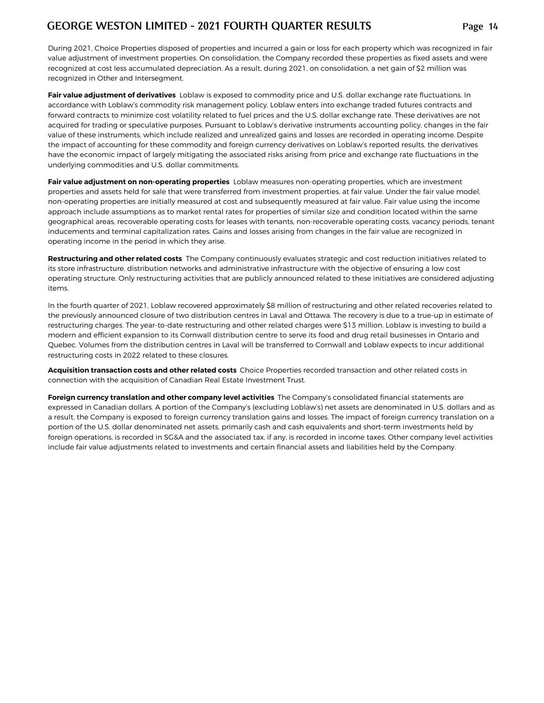**During 2021, Choice Properties disposed of properties and incurred a gain or loss for each property which was recognized in fair value adjustment of investment properties. On consolidation, the Company recorded these properties as fixed assets and were recognized at cost less accumulated depreciation. As a result, during 2021, on consolidation, a net gain of \$2 million was recognized in Other and Intersegment.**

**Fair value adjustment of derivatives Loblaw** is exposed to commodity price and U.S. dollar exchange rate fluctuations. In accordance with Loblaw's commodity risk management policy, Loblaw enters into exchange traded futures contracts and forward contracts to minimize cost volatility related to fuel prices and the U.S. dollar exchange rate. These derivatives are not acquired for trading or speculative purposes. Pursuant to Loblaw's derivative instruments accounting policy, changes in the fair value of these instruments, which include realized and unrealized gains and losses are recorded in operating income. Despite the impact of accounting for these commodity and foreign currency derivatives on Loblaw's reported results, the derivatives have the economic impact of largely mitigating the associated risks arising from price and exchange rate fluctuations in the underlying commodities and U.S. dollar commitments.

**Fair value adjustment on non-operating properties** Loblaw measures non-operating properties, which are investment properties and assets held for sale that were transferred from investment properties, at fair value. Under the fair value model, non-operating properties are initially measured at cost and subsequently measured at fair value. Fair value using the income approach include assumptions as to market rental rates for properties of similar size and condition located within the same geographical areas, recoverable operating costs for leases with tenants, non-recoverable operating costs, vacancy periods, tenant inducements and terminal capitalization rates. Gains and losses arising from changes in the fair value are recognized in operating income in the period in which they arise.

**Restructuring and other related costs** The Company continuously evaluates strategic and cost reduction initiatives related to its store infrastructure, distribution networks and administrative infrastructure with the objective of ensuring a low cost operating structure. **Only restructuring activities that are publicly announced related to these initiatives are considered adjusting items.** 

In the fourth quarter of 2021, Loblaw recovered approximately \$8 million of restructuring and other related recoveries related to the previously announced closure of two distribution centres in Laval and Ottawa. The recovery is due to a true-up in estimate of restructuring charges. The year-to-date restructuring and other related charges were \$13 million. Loblaw is investing to build a modern and efficient expansion to its Cornwall distribution centre to serve its food and drug retail businesses in Ontario and Quebec. Volumes from the distribution centres in Laval will be transferred to Cornwall and Loblaw expects to incur additional restructuring costs in 2022 related to these closures.

**Acquisition transaction costs and other related costs** Choice Properties recorded transaction and other related costs in connection with the acquisition of Canadian Real Estate Investment Trust.

**Foreign currency translation and other company level activities** The Company's consolidated financial statements are expressed in Canadian dollars. A portion of the Company's (excluding Loblaw's) net assets are denominated in U.S. dollars and as a result, the Company is exposed to foreign currency translation gains and losses. The impact of foreign currency translation on a portion of the U.S. dollar denominated net assets, primarily cash and cash equivalents and short-term investments held by foreign operations, is recorded in SG&A and the associated tax, if any, is recorded in income taxes. Other company level activities include fair value adjustments related to investments and certain financial assets and liabilities held by the Company.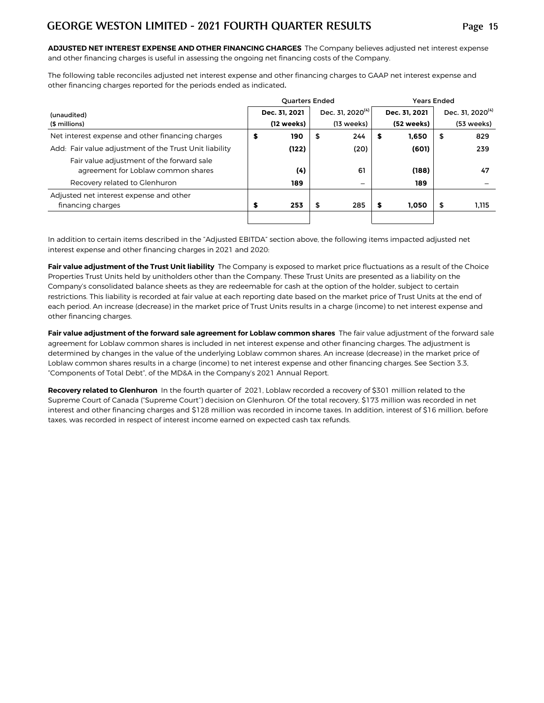**ADJUSTED NET INTEREST EXPENSE AND OTHER FINANCING CHARGES** The Company believes adjusted net interest expense and other financing charges is useful in assessing the ongoing net financing costs of the Company.

The following table reconciles adjusted net interest expense and other financing charges to GAAP net interest expense and other financing charges reported for the periods ended as indicated.

|                                                                                 | <b>Quarters Ended</b> |                              | <b>Years Ended</b> |                              |
|---------------------------------------------------------------------------------|-----------------------|------------------------------|--------------------|------------------------------|
| (unaudited)                                                                     | Dec. 31. 2021         | Dec. 31, 2020 <sup>(4)</sup> | Dec. 31. 2021      | Dec. 31, 2020 <sup>(4)</sup> |
| (\$ millions)                                                                   | (12 weeks)            | (13 weeks)                   | (52 weeks)         | (53 weeks)                   |
| Net interest expense and other financing charges                                | \$<br>190             | 244<br>\$                    | \$<br>1.650        | \$<br>829                    |
| Add: Fair value adjustment of the Trust Unit liability                          | (122)                 | (20)                         | (601)              | 239                          |
| Fair value adjustment of the forward sale<br>agreement for Loblaw common shares | (4)                   | 61                           | (188)              | 47                           |
| Recovery related to Glenhuron                                                   | 189                   | $\overline{\phantom{m}}$     | 189                |                              |
| Adjusted net interest expense and other                                         |                       |                              |                    |                              |
| financing charges                                                               | \$<br>253             | 285<br>\$                    | \$<br>1.050        | \$<br>1,115                  |
|                                                                                 |                       |                              |                    |                              |

In addition to certain items described in the "Adjusted EBITDA" section above, the following items impacted adjusted net interest expense and other financing charges in 2021 and 2020:

**Fair value adjustment of the Trust Unit liability** The Company is exposed to market price fluctuations as a result of the Choice Properties Trust Units held by unitholders other than the Company. These Trust Units are presented as a liability on the Company's consolidated balance sheets as they are redeemable for cash at the option of the holder, subject to certain restrictions. This liability is recorded at fair value at each reporting date based on the market price of Trust Units at the end of each period. An increase (decrease) in the market price of Trust Units results in a charge (income) to net interest expense and other financing charges.

**Fair value adjustment of the forward sale agreement for Loblaw common shares** The fair value adjustment of the forward sale agreement for Loblaw common shares is included in net interest expense and other financing charges. The adjustment is determined by changes in the value of the underlying Loblaw common shares. An increase (decrease) in the market price of Loblaw common shares results in a charge (income) to net interest expense and other financing charges. See Section 3.3, "Components of Total Debt", of the MD&A in the Company's 2021 Annual Report.

**Recovery related to Glenhuron** In the fourth quarter of 2021, Loblaw recorded a recovery of \$301 million related to the Supreme Court of Canada ("Supreme Court") decision on Glenhuron. Of the total recovery, \$173 million was recorded in net interest and other financing charges and \$128 million was recorded in income taxes. In addition, interest of \$16 million, before taxes, was recorded in respect of interest income earned on expected cash tax refunds.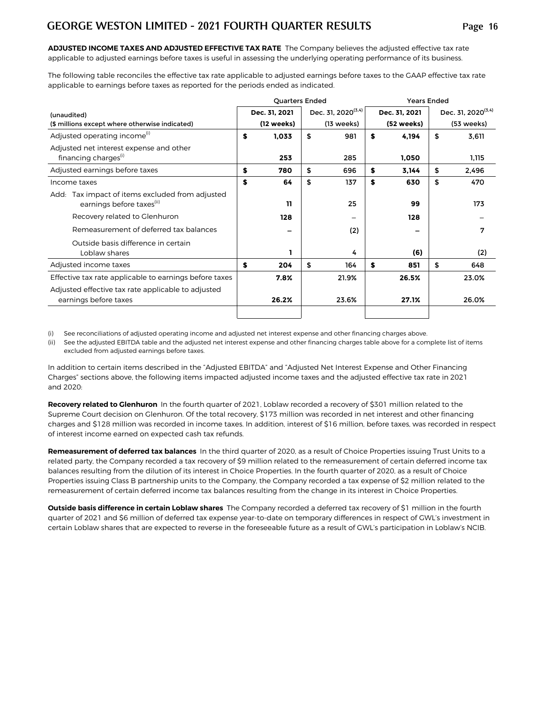**ADJUSTED INCOME TAXES AND ADJUSTED EFFECTIVE TAX RATE** The Company believes the adjusted effective tax rate applicable to adjusted earnings before taxes is useful in assessing the underlying operating performance of its business.

The following table reconciles the effective tax rate applicable to adjusted earnings before taxes to the GAAP effective tax rate applicable to earnings before taxes as reported for the periods ended as indicated.

|                                                                                          |    | <b>Quarters Ended</b> |                                |    | <b>Years Ended</b> |    |                                |  |  |  |  |
|------------------------------------------------------------------------------------------|----|-----------------------|--------------------------------|----|--------------------|----|--------------------------------|--|--|--|--|
| (unaudited)                                                                              |    | Dec. 31, 2021         | Dec. 31, 2020 <sup>(3,4)</sup> |    | Dec. 31, 2021      |    | Dec. 31, 2020 <sup>(3,4)</sup> |  |  |  |  |
| (\$ millions except where otherwise indicated)                                           |    | (12 weeks)            | $(13 \text{ weeks})$           |    | (52 weeks)         |    | (53 weeks)                     |  |  |  |  |
| Adjusted operating income <sup>(1)</sup>                                                 | \$ | 1,033                 | \$<br>981                      | \$ | 4,194              | \$ | 3,611                          |  |  |  |  |
| Adjusted net interest expense and other<br>financing charges <sup>(i)</sup>              |    | 253                   | 285                            |    | 1,050              |    | 1,115                          |  |  |  |  |
| Adjusted earnings before taxes                                                           | \$ | 780                   | \$<br>696                      | S  | 3,144              | \$ | 2,496                          |  |  |  |  |
| Income taxes                                                                             | \$ | 64                    | \$<br>137                      | \$ | 630                | \$ | 470                            |  |  |  |  |
| Add: Tax impact of items excluded from adjusted<br>earnings before taxes <sup>(ii)</sup> |    | 11                    | 25                             |    | 99                 |    | 173                            |  |  |  |  |
| Recovery related to Glenhuron                                                            |    | 128                   |                                |    | 128                |    |                                |  |  |  |  |
| Remeasurement of deferred tax balances                                                   |    |                       | (2)                            |    |                    |    | 7                              |  |  |  |  |
| Outside basis difference in certain<br>Loblaw shares                                     |    |                       | 4                              |    | (6)                |    | (2)                            |  |  |  |  |
| Adjusted income taxes                                                                    | S  | 204                   | \$<br>164                      | \$ | 851                | \$ | 648                            |  |  |  |  |
| Effective tax rate applicable to earnings before taxes                                   |    | 7.8%                  | 21.9%                          |    | 26.5%              |    | 23.0%                          |  |  |  |  |
| Adjusted effective tax rate applicable to adjusted<br>earnings before taxes              |    | 26.2%                 | 23.6%                          |    | 27.1%              |    | 26.0%                          |  |  |  |  |
|                                                                                          |    |                       |                                |    |                    |    |                                |  |  |  |  |

(i) See reconciliations of adjusted operating income and adjusted net interest expense and other financing charges above.

(ii) See the adjusted EBITDA table and the adjusted net interest expense and other financing charges table above for a complete list of items excluded from adjusted earnings before taxes.

In addition to certain items described in the "Adjusted EBITDA" and "Adjusted Net Interest Expense and Other Financing Charges" sections above, the following items impacted adjusted income taxes and the adjusted effective tax rate in 2021 and 2020:

**Recovery related to Glenhuron** In the fourth quarter of 2021, Loblaw recorded a recovery of \$301 million related to the Supreme Court decision on Glenhuron. Of the total recovery, \$173 million was recorded in net interest and other financing charges and \$128 million was recorded in income taxes. In addition, interest of \$16 million, before taxes, was recorded in respect of interest income earned on expected cash tax refunds.

**Remeasurement of deferred tax balances** In the third quarter of 2020, as a result of Choice Properties issuing Trust Units to a related party, the Company recorded a tax recovery of \$9 million related to the remeasurement of certain deferred income tax balances resulting from the dilution of its interest in Choice Properties. In the fourth quarter of 2020, as a result of Choice Properties issuing Class B partnership units to the Company, the Company recorded a tax expense of \$2 million related to the remeasurement of certain deferred income tax balances resulting from the change in its interest in Choice Properties.

**Outside basis difference in certain Loblaw shares** The Company recorded a deferred tax recovery of \$1 million in the fourth quarter of 2021 and \$6 million of deferred tax expense year-to-date on temporary differences in respect of GWL's investment in certain Loblaw shares that are expected to reverse in the foreseeable future as a result of GWL's participation in Loblaw's NCIB.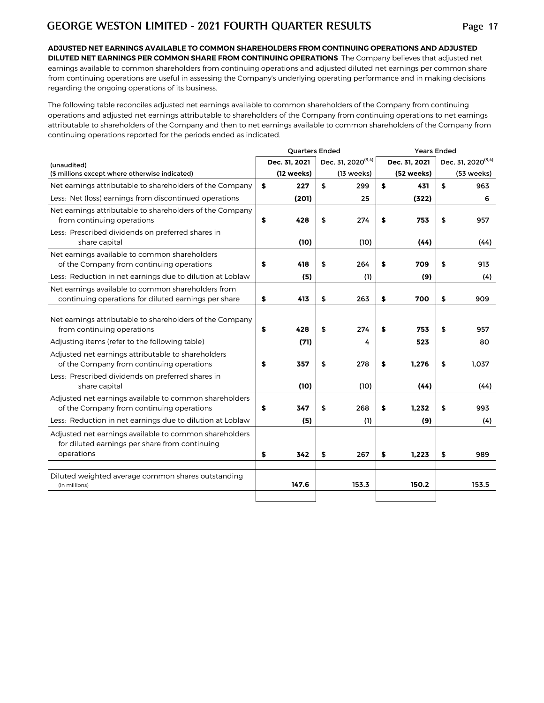**ADJUSTED NET EARNINGS AVAILABLE TO COMMON SHAREHOLDERS FROM CONTINUING OPERATIONS AND ADJUSTED DILUTED NET EARNINGS PER COMMON SHARE FROM CONTINUING OPERATIONS** The Company believes that adjusted net earnings available to common shareholders from continuing operations and adjusted diluted net earnings per common share from continuing operations are useful in assessing the Company's underlying operating performance and in making decisions regarding the ongoing operations of its business.

The following table reconciles adjusted net earnings available to common shareholders of the Company from continuing operations and adjusted net earnings attributable to shareholders of the Company from continuing operations to net earnings attributable to shareholders of the Company and then to net earnings available to common shareholders of the Company from continuing operations reported for the periods ended as indicated.

|                                                                                                                                                                       | <b>Quarters Ended</b> |               |    |                                |    | <b>Years Ended</b> |                                |
|-----------------------------------------------------------------------------------------------------------------------------------------------------------------------|-----------------------|---------------|----|--------------------------------|----|--------------------|--------------------------------|
| (unaudited)                                                                                                                                                           |                       | Dec. 31, 2021 |    | Dec. 31, 2020 <sup>(3,4)</sup> |    | Dec. 31, 2021      | Dec. 31, 2020 <sup>(3,4)</sup> |
| (\$ millions except where otherwise indicated)                                                                                                                        |                       | (12 weeks)    |    | (13 weeks)                     |    | (52 weeks)         | (53 weeks)                     |
| Net earnings attributable to shareholders of the Company                                                                                                              | \$                    | 227           | \$ | 299                            | \$ | 431                | \$<br>963                      |
| Less: Net (loss) earnings from discontinued operations                                                                                                                |                       | (201)         |    | 25                             |    | (322)              | 6                              |
| Net earnings attributable to shareholders of the Company<br>from continuing operations<br>Less: Prescribed dividends on preferred shares in                           | \$                    | 428           | \$ | 274                            | \$ | 753                | \$<br>957                      |
| share capital                                                                                                                                                         |                       | (10)          |    | (10)                           |    | (44)               | (44)                           |
| Net earnings available to common shareholders<br>of the Company from continuing operations<br>Less: Reduction in net earnings due to dilution at Loblaw               | \$                    | 418<br>(5)    | \$ | 264<br>(1)                     | S  | 709<br>(9)         | \$<br>913<br>(4)               |
| Net earnings available to common shareholders from                                                                                                                    |                       |               |    |                                |    |                    |                                |
| continuing operations for diluted earnings per share                                                                                                                  | \$                    | 413           | \$ | 263                            | \$ | 700                | \$<br>909                      |
| Net earnings attributable to shareholders of the Company<br>from continuing operations<br>Adjusting items (refer to the following table)                              | \$                    | 428<br>(71)   | \$ | 274<br>4                       | \$ | 753<br>523         | \$<br>957<br>80                |
| Adjusted net earnings attributable to shareholders<br>of the Company from continuing operations<br>Less: Prescribed dividends on preferred shares in<br>share capital | \$                    | 357<br>(10)   | \$ | 278<br>(10)                    | \$ | 1,276<br>(44)      | \$<br>1,037<br>(44)            |
| Adjusted net earnings available to common shareholders<br>of the Company from continuing operations<br>Less: Reduction in net earnings due to dilution at Loblaw      | \$                    | 347<br>(5)    | \$ | 268<br>(1)                     | \$ | 1,232<br>(9)       | \$<br>993<br>(4)               |
| Adjusted net earnings available to common shareholders<br>for diluted earnings per share from continuing<br>operations                                                | \$                    | 342           | \$ | 267                            | \$ | 1,223              | \$<br>989                      |
| Diluted weighted average common shares outstanding<br>(in millions)                                                                                                   |                       | 147.6         |    | 153.3                          |    | 150.2              | 153.5                          |
|                                                                                                                                                                       |                       |               |    |                                |    |                    |                                |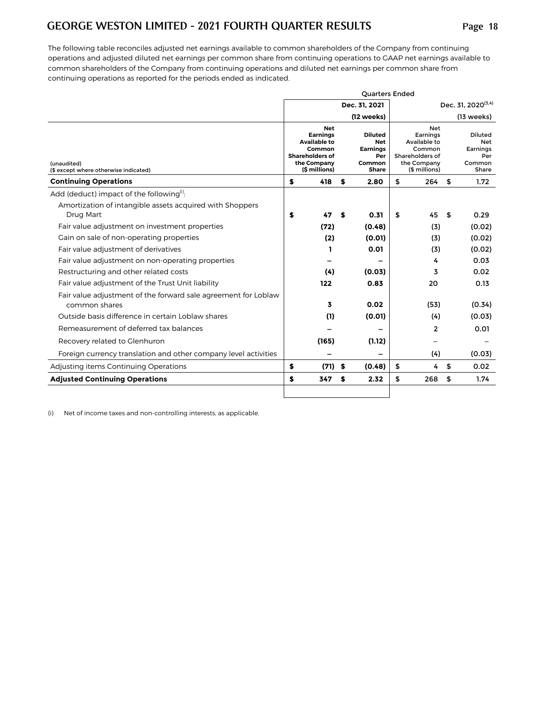The following table reconciles adjusted net earnings available to common shareholders of the Company from continuing operations and adjusted diluted net earnings per common share from continuing operations to GAAP net earnings available to common shareholders of the Company from continuing operations and diluted net earnings per common share from continuing operations as reported for the periods ended as indicated.

|                                                                                 |    |                                                                                                                          |    | <b>Ouarters Ended</b>                                                     |                                                                                                     |                                                             |
|---------------------------------------------------------------------------------|----|--------------------------------------------------------------------------------------------------------------------------|----|---------------------------------------------------------------------------|-----------------------------------------------------------------------------------------------------|-------------------------------------------------------------|
|                                                                                 |    |                                                                                                                          |    | Dec. 31, 2021                                                             |                                                                                                     | Dec. 31, 2020 <sup>(3,4)</sup>                              |
|                                                                                 |    |                                                                                                                          |    | (12 weeks)                                                                |                                                                                                     | $(13$ weeks)                                                |
| (unaudited)<br>(\$ except where otherwise indicated)                            |    | <b>Net</b><br><b>Earnings</b><br><b>Available to</b><br>Common<br><b>Shareholders of</b><br>the Company<br>(\$ millions) |    | <b>Diluted</b><br><b>Net</b><br><b>Earnings</b><br>Per<br>Common<br>Share | <b>Net</b><br>Earnings<br>Available to<br>Common<br>Shareholders of<br>the Company<br>(\$ millions) | <b>Diluted</b><br>Net<br>Earnings<br>Per<br>Common<br>Share |
| <b>Continuing Operations</b>                                                    | \$ | 418                                                                                                                      | S  | 2.80                                                                      | \$<br>264                                                                                           | \$<br>1.72                                                  |
| Add (deduct) impact of the following <sup>(i)</sup> :                           |    |                                                                                                                          |    |                                                                           |                                                                                                     |                                                             |
| Amortization of intangible assets acquired with Shoppers<br>Drug Mart           | S  | 47                                                                                                                       | S  | 0.31                                                                      | \$<br>45                                                                                            | \$<br>0.29                                                  |
| Fair value adjustment on investment properties                                  |    | (72)                                                                                                                     |    | (0.48)                                                                    | (3)                                                                                                 | (0.02)                                                      |
| Gain on sale of non-operating properties                                        |    | (2)                                                                                                                      |    | (0.01)                                                                    | (3)                                                                                                 | (0.02)                                                      |
| Fair value adjustment of derivatives                                            |    | ı                                                                                                                        |    | 0.01                                                                      | (3)                                                                                                 | (0.02)                                                      |
| Fair value adjustment on non-operating properties                               |    |                                                                                                                          |    |                                                                           | 4                                                                                                   | 0.03                                                        |
| Restructuring and other related costs                                           |    | (4)                                                                                                                      |    | (0.03)                                                                    | 3                                                                                                   | 0.02                                                        |
| Fair value adjustment of the Trust Unit liability                               |    | 122                                                                                                                      |    | 0.83                                                                      | 20                                                                                                  | 0.13                                                        |
| Fair value adjustment of the forward sale agreement for Loblaw<br>common shares |    | 3                                                                                                                        |    | 0.02                                                                      | (53)                                                                                                | (0.34)                                                      |
| Outside basis difference in certain Loblaw shares                               |    | (1)                                                                                                                      |    | (0.01)                                                                    | (4)                                                                                                 | (0.03)                                                      |
| Remeasurement of deferred tax balances                                          |    |                                                                                                                          |    |                                                                           | $\overline{2}$                                                                                      | 0.01                                                        |
| Recovery related to Glenhuron                                                   |    | (165)                                                                                                                    |    | (1.12)                                                                    |                                                                                                     |                                                             |
| Foreign currency translation and other company level activities                 |    |                                                                                                                          |    |                                                                           | (4)                                                                                                 | (0.03)                                                      |
| Adjusting items Continuing Operations                                           | \$ | (71)                                                                                                                     | \$ | (0.48)                                                                    | \$<br>4                                                                                             | \$<br>0.02                                                  |
| <b>Adjusted Continuing Operations</b>                                           | S  | 347                                                                                                                      | S  | 2.32                                                                      | \$<br>268                                                                                           | \$<br>1.74                                                  |
|                                                                                 |    |                                                                                                                          |    |                                                                           |                                                                                                     |                                                             |

(i) Net of income taxes and non-controlling interests, as applicable.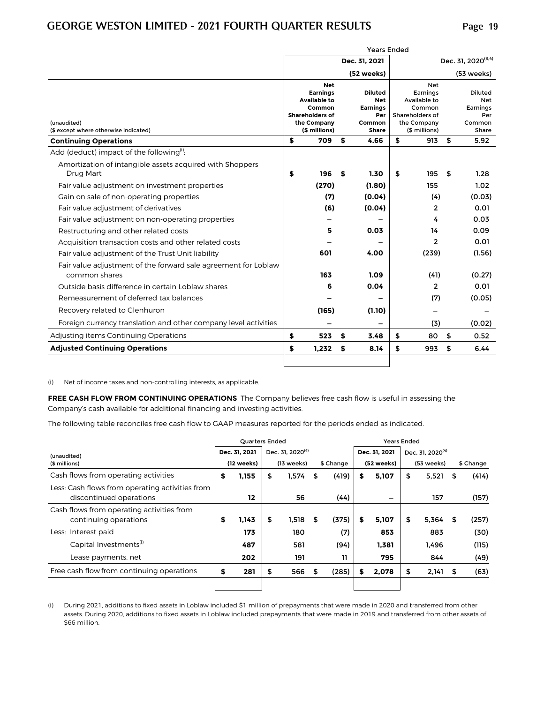|                                                                                 |                                                                                                                   |    | <b>Years Ended</b>                                                        |                                                                                                     |                                                             |
|---------------------------------------------------------------------------------|-------------------------------------------------------------------------------------------------------------------|----|---------------------------------------------------------------------------|-----------------------------------------------------------------------------------------------------|-------------------------------------------------------------|
|                                                                                 |                                                                                                                   |    | Dec. 31, 2021                                                             |                                                                                                     | Dec. 31, 2020 <sup>(3,4)</sup>                              |
|                                                                                 |                                                                                                                   |    | (52 weeks)                                                                |                                                                                                     | (53 weeks)                                                  |
| (unaudited)<br>(\$ except where otherwise indicated)                            | <b>Net</b><br><b>Earnings</b><br>Available to<br>Common<br><b>Shareholders of</b><br>the Company<br>(\$ millions) |    | <b>Diluted</b><br><b>Net</b><br><b>Earnings</b><br>Per<br>Common<br>Share | <b>Net</b><br>Earnings<br>Available to<br>Common<br>Shareholders of<br>the Company<br>(\$ millions) | <b>Diluted</b><br>Net<br>Earnings<br>Per<br>Common<br>Share |
| <b>Continuing Operations</b>                                                    | \$<br>709                                                                                                         | S  | 4.66                                                                      | \$<br>913                                                                                           | \$<br>5.92                                                  |
| Add (deduct) impact of the following <sup>(i)</sup> :                           |                                                                                                                   |    |                                                                           |                                                                                                     |                                                             |
| Amortization of intangible assets acquired with Shoppers<br>Drug Mart           | \$<br>196                                                                                                         | S  | 1.30                                                                      | \$<br>195                                                                                           | \$<br>1.28                                                  |
| Fair value adjustment on investment properties                                  | (270)                                                                                                             |    | (1.80)                                                                    | 155                                                                                                 | 1.02                                                        |
| Gain on sale of non-operating properties                                        | (7)                                                                                                               |    | (0.04)                                                                    | (4)                                                                                                 | (0.03)                                                      |
| Fair value adjustment of derivatives                                            | (6)                                                                                                               |    | (0.04)                                                                    | $\overline{2}$                                                                                      | 0.01                                                        |
| Fair value adjustment on non-operating properties                               |                                                                                                                   |    |                                                                           | 4                                                                                                   | 0.03                                                        |
| Restructuring and other related costs                                           | 5                                                                                                                 |    | 0.03                                                                      | 14                                                                                                  | 0.09                                                        |
| Acquisition transaction costs and other related costs                           |                                                                                                                   |    |                                                                           | $\overline{2}$                                                                                      | 0.01                                                        |
| Fair value adjustment of the Trust Unit liability                               | 601                                                                                                               |    | 4.00                                                                      | (239)                                                                                               | (1.56)                                                      |
| Fair value adjustment of the forward sale agreement for Loblaw<br>common shares | 163                                                                                                               |    | 1.09                                                                      | (41)                                                                                                | (0.27)                                                      |
| Outside basis difference in certain Loblaw shares                               | 6                                                                                                                 |    | 0.04                                                                      | $\overline{2}$                                                                                      | 0.01                                                        |
| Remeasurement of deferred tax balances                                          |                                                                                                                   |    |                                                                           | (7)                                                                                                 | (0.05)                                                      |
| Recovery related to Glenhuron                                                   | (165)                                                                                                             |    | (1.10)                                                                    |                                                                                                     |                                                             |
| Foreign currency translation and other company level activities                 |                                                                                                                   |    |                                                                           | (3)                                                                                                 | (0.02)                                                      |
| Adjusting items Continuing Operations                                           | \$<br>523                                                                                                         | S  | 3.48                                                                      | \$<br>80                                                                                            | \$<br>0.52                                                  |
| <b>Adjusted Continuing Operations</b>                                           | \$<br>1.232                                                                                                       | \$ | 8.14                                                                      | \$<br>993                                                                                           | \$<br>6.44                                                  |
|                                                                                 |                                                                                                                   |    |                                                                           |                                                                                                     |                                                             |

(i) Net of income taxes and non-controlling interests, as applicable.

**FREE CASH FLOW FROM CONTINUING OPERATIONS** The Company believes free cash flow is useful in assessing the Company's cash available for additional financing and investing activities.

The following table reconciles free cash flow to GAAP measures reported for the periods ended as indicated.

|                                                                            |    | <b>Ouarters Ended</b> |                              |    |           |    | <b>Years Ended</b> |    |                              |    |           |
|----------------------------------------------------------------------------|----|-----------------------|------------------------------|----|-----------|----|--------------------|----|------------------------------|----|-----------|
| (unaudited)                                                                |    | Dec. 31. 2021         | Dec. 31. 2020 <sup>(4)</sup> |    |           |    | Dec. 31. 2021      |    | Dec. 31, 2020 <sup>(4)</sup> |    |           |
| (\$ millions)                                                              |    | (12 weeks)            | (13 weeks)                   |    | \$ Change |    | (52 weeks)         |    | (53 weeks)                   |    | \$ Change |
| Cash flows from operating activities                                       | \$ | 1.155                 | \$<br>1,574                  | \$ | (419)     | s  | 5,107              | \$ | 5,521                        | S  | (414)     |
| Less: Cash flows from operating activities from<br>discontinued operations |    | 12                    | 56                           |    | (44)      |    |                    |    | 157                          |    | (157)     |
| Cash flows from operating activities from<br>continuing operations         | \$ | 1,143                 | \$<br>1,518                  | S  | (375)     | \$ | 5,107              | \$ | 5,364                        | S  | (257)     |
| Less: Interest paid                                                        |    | 173                   | 180                          |    | (7)       |    | 853                |    | 883                          |    | (30)      |
| Capital Investments <sup>(1)</sup>                                         |    | 487                   | 581                          |    | (94)      |    | 1,381              |    | 1,496                        |    | (115)     |
| Lease payments, net                                                        |    | 202                   | 191                          |    | 11        |    | 795                |    | 844                          |    | (49)      |
| Free cash flow from continuing operations                                  | S  | 281                   | \$<br>566                    | S  | (285)     | s  | 2,078              | S  | 2,141                        | 55 | (63)      |
|                                                                            |    |                       |                              |    |           |    |                    |    |                              |    |           |

(i) During 2021, additions to fixed assets in Loblaw included \$1 million of prepayments that were made in 2020 and transferred from other assets. During 2020, additions to fixed assets in Loblaw included prepayments that were made in 2019 and transferred from other assets of \$66 million.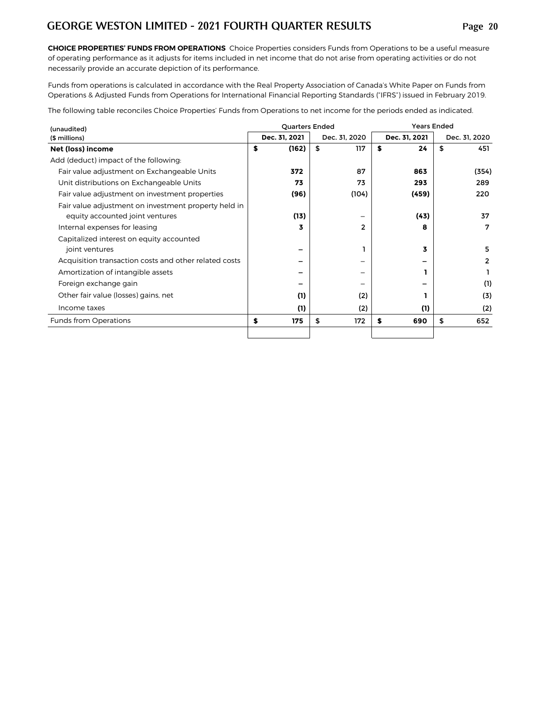**CHOICE PROPERTIES' FUNDS FROM OPERATIONS** Choice Properties considers Funds from Operations to be a useful measure of operating performance as it adjusts for items included in net income that do not arise from operating activities or do not necessarily provide an accurate depiction of its performance.

Funds from operations is calculated in accordance with the Real Property Association of Canada's White Paper on Funds from Operations & Adjusted Funds from Operations forInternational Financial Reporting Standards ("IFRS") issued in February 2019.

The following table reconciles Choice Properties' Funds from Operations to net income for the periods ended as indicated.

| (unaudited)                                                                             |   | <b>Quarters Ended</b> |                | <b>Years Ended</b> |               |
|-----------------------------------------------------------------------------------------|---|-----------------------|----------------|--------------------|---------------|
| (\$ millions)                                                                           |   | Dec. 31, 2021         | Dec. 31, 2020  | Dec. 31, 2021      | Dec. 31, 2020 |
| Net (loss) income                                                                       | S | (162)                 | \$<br>117      | \$<br>24           | \$<br>451     |
| Add (deduct) impact of the following:                                                   |   |                       |                |                    |               |
| Fair value adjustment on Exchangeable Units                                             |   | 372                   | 87             | 863                | (354)         |
| Unit distributions on Exchangeable Units                                                |   | 73                    | 73             | 293                | 289           |
| Fair value adjustment on investment properties                                          |   | (96)                  | (104)          | (459)              | 220           |
| Fair value adjustment on investment property held in<br>equity accounted joint ventures |   | (13)                  |                | (43)               | 37            |
| Internal expenses for leasing                                                           |   | 3                     | $\overline{2}$ | 8                  | 7             |
| Capitalized interest on equity accounted<br>joint ventures                              |   | -                     |                | 3                  | 5.            |
| Acquisition transaction costs and other related costs                                   |   |                       |                |                    | 2             |
| Amortization of intangible assets                                                       |   |                       |                |                    |               |
| Foreign exchange gain                                                                   |   |                       |                |                    | (1)           |
| Other fair value (losses) gains, net                                                    |   | (1)                   | (2)            |                    | (3)           |
| Income taxes                                                                            |   | (1)                   | (2)            | (1)                | (2)           |
| <b>Funds from Operations</b>                                                            | S | 175                   | \$<br>172      | 690<br>\$          | \$<br>652     |
|                                                                                         |   |                       |                |                    |               |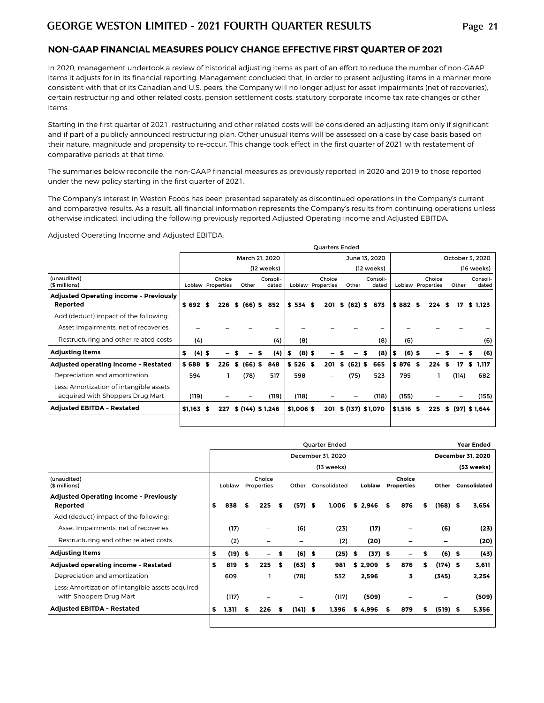#### **NON-GAAP FINANCIAL MEASURES POLICY CHANGE EFFECTIVE FIRST QUARTER OF 2021**

In 2020, management undertook a review of historical adjusting items as part of an effort to reduce the number of non-GAAP items it adjusts for in its financial reporting. Management concluded that, in order to present adjusting items in a manner more consistent with that of its Canadian and U.S. peers, the Company will no longer adjust for asset impairments (net of recoveries), certain restructuring and other related costs, pension settlement costs, statutory corporate income tax rate changes or other items.

Starting in the first quarter of 2021, restructuring and other related costs will be considered an adjusting item only if significant and if part of a publicly announced restructuring plan. Other unusual items will be assessed on a case by case basis based on their nature, magnitude and propensity to re-occur. This change took effect in the first quarter of 2021 with restatement of comparative periods at that time.

The summaries below reconcile the non-GAAP financial measures as previously reported in 2020 and 2019 to those reported under the new policy starting in the first quarter of 2021.

The Company's interest in Weston Foods has been presented separately as discontinued operations in the Company's current and comparative results. As a result, all financial information represents the Company's results from continuing operations unless otherwise indicated, including the following previously reported Adjusted Operating Income and Adjusted EBITDA.

Adjusted Operating Income and Adjusted EBITDA:

|                                                                             |                |      |                             |    |                 |                   |                |      | <b>Ouarters Ended</b>       |   |                 |    |                   |    |             |                             |      |       |   |                   |
|-----------------------------------------------------------------------------|----------------|------|-----------------------------|----|-----------------|-------------------|----------------|------|-----------------------------|---|-----------------|----|-------------------|----|-------------|-----------------------------|------|-------|---|-------------------|
|                                                                             |                |      |                             |    | March 21, 2020  |                   |                |      |                             |   | June 13, 2020   |    |                   |    |             |                             |      |       |   | October 3, 2020   |
|                                                                             |                |      |                             |    |                 | (12 weeks)        |                |      |                             |   |                 |    | (12 weeks)        |    |             |                             |      |       |   | (16 weeks)        |
| (unaudited)<br>(\$ millions)                                                |                |      | Choice<br>Loblaw Properties |    | Other           | Consoli-<br>dated |                |      | Choice<br>Loblaw Properties |   | Other           |    | Consoli-<br>dated |    |             | Choice<br>Loblaw Properties |      | Other |   | Consoli-<br>dated |
| <b>Adjusted Operating income - Previously</b>                               |                |      |                             |    |                 |                   |                |      |                             |   |                 |    |                   |    |             |                             |      |       |   |                   |
| Reported                                                                    | $$692$ \$      |      | 226                         |    | \$ (66) \$      | 852               | \$534\$        |      |                             |   | 201 \$ (62) \$  |    | 673               |    | $$882$ \$   | 224S                        |      | 17    |   | \$ 1.123          |
| Add (deduct) impact of the following:                                       |                |      |                             |    |                 |                   |                |      |                             |   |                 |    |                   |    |             |                             |      |       |   |                   |
| Asset Impairments, net of recoveries                                        |                |      |                             |    |                 | -                 |                |      |                             |   |                 |    |                   |    |             |                             |      |       |   |                   |
| Restructuring and other related costs                                       | (4)            |      |                             |    |                 | (4)               | (8)            |      |                             |   |                 |    | (8)               |    | (6)         |                             |      |       |   | (6)               |
| <b>Adjusting Items</b>                                                      | \$<br>$(4)$ \$ |      |                             |    |                 | (4)               | \$<br>$(8)$ \$ |      |                             |   |                 | £. | (8)               | s. | $(6)$ \$    |                             |      |       | S | (6)               |
| Adjusted operating income - Restated                                        | \$688          | - \$ | 226                         | S. | $(66)$ \$       | 848               | \$526          | - \$ | 201                         | S | $(62)$ \$       |    | 665               |    | \$876 \$    | 224                         | - \$ | 17    | s | 1,117             |
| Depreciation and amortization                                               | 594            |      |                             |    | (78)            | 517               | 598            |      | -                           |   | (75)            |    | 523               |    | 795         |                             |      | (114) |   | 682               |
| Less: Amortization of intangible assets<br>acquired with Shoppers Drug Mart | (119)          |      |                             |    |                 | (119)             | (118)          |      |                             |   |                 |    | (118)             |    | (155)       |                             |      |       |   | (155)             |
| <b>Adjusted EBITDA - Restated</b>                                           | $$1,163$ \$    |      | 227                         |    | \$(144) \$1,246 |                   | \$1,006\$      |      | 201                         |   | \$(137) \$1,070 |    |                   |    | $$1,516$ \$ | 225                         |      |       |   | \$ (97) \$1,644   |
|                                                                             |                |      |                             |    |                 |                   |                |      |                             |   |                 |    |                   |    |             |                             |      |       |   |                   |

|                                                                             |                 |    |                      |    |           |      | Quarter Ended     |                |      |                             |   |                          | <b>Year Ended</b> |
|-----------------------------------------------------------------------------|-----------------|----|----------------------|----|-----------|------|-------------------|----------------|------|-----------------------------|---|--------------------------|-------------------|
|                                                                             |                 |    |                      |    |           |      | December 31, 2020 |                |      |                             |   |                          | December 31, 2020 |
|                                                                             |                 |    |                      |    |           |      | (13 weeks)        |                |      |                             |   |                          | (53 weeks)        |
| (unaudited)<br>(\$ millions)                                                | Loblaw          |    | Choice<br>Properties |    | Other     |      | Consolidated      | Loblaw         |      | Choice<br><b>Properties</b> |   | Other                    | Consolidated      |
| <b>Adjusted Operating income - Previously</b><br>Reported                   | \$<br>838       | S  | 225                  | S. | (57)      | Ŝ.   | 1,006             | \$2.946        | - \$ | 876                         | s | $(168)$ \$               | 3,654             |
| Add (deduct) impact of the following:                                       |                 |    |                      |    |           |      |                   |                |      |                             |   |                          |                   |
| Asset Impairments, net of recoveries                                        | (17)            |    |                      |    | (6)       |      | (23)              | (17)           |      | -                           |   | (6)                      | (23)              |
| Restructuring and other related costs                                       | (2)             |    | -                    |    | -         |      | (2)               | (20)           |      | -                           |   | $\overline{\phantom{0}}$ | (20)              |
| <b>Adjusting Items</b>                                                      | \$<br>$(19)$ \$ |    | Ξ.                   | \$ | (6)       | - \$ | (25)              | $(37)$ \$<br>5 |      | -                           | S | (6)                      | \$<br>(43)        |
| Adjusted operating income - Restated                                        | \$<br>819       | \$ | 225                  | -S | $(63)$ \$ |      | 981               | \$2,909        | - \$ | 876                         | s | $(174)$ \$               | 3,611             |
| Depreciation and amortization                                               | 609             |    |                      |    | (78)      |      | 532               | 2,596          |      | 3                           |   | (345)                    | 2,254             |
| Less: Amortization of intangible assets acquired<br>with Shoppers Drug Mart | (117)           |    |                      |    |           |      | (117)             | (509)          |      |                             |   |                          | (509)             |
| <b>Adjusted EBITDA - Restated</b>                                           | \$<br>1,311     | s  | 226                  | S  | (141)     | - 5  | 1.396             | \$4,996        | S    | 879                         | S | $(519)$ \$               | 5,356             |
|                                                                             |                 |    |                      |    |           |      |                   |                |      |                             |   |                          |                   |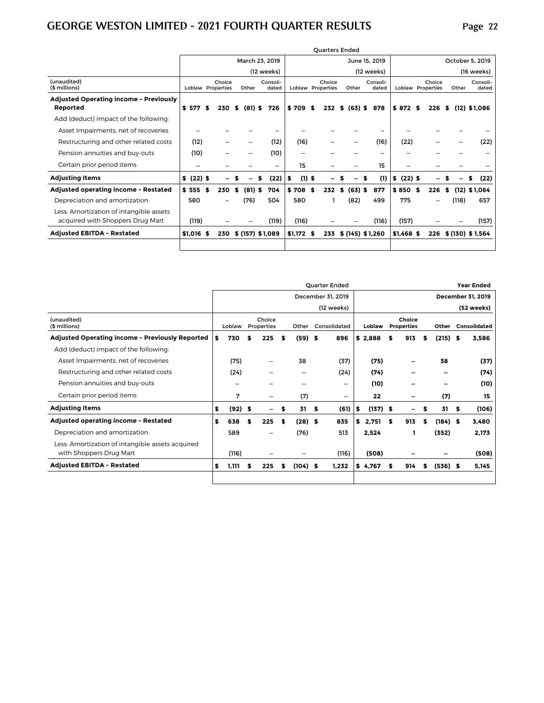| (unaudited)                                                                          |      |        | March 23, 2019    |                          |                |                             |    |           |                   |             |                                    |       |                   |
|--------------------------------------------------------------------------------------|------|--------|-------------------|--------------------------|----------------|-----------------------------|----|-----------|-------------------|-------------|------------------------------------|-------|-------------------|
|                                                                                      |      |        |                   |                          |                |                             |    |           | June 15, 2019     |             |                                    |       | October 5, 2019   |
|                                                                                      |      |        |                   | (12 weeks)               |                |                             |    |           | (12 weeks)        |             |                                    |       | (16 weeks)        |
| (\$ millions)<br><b>Loblaw Properties</b>                                            |      | Choice | Other             | Consoli-<br>dated        |                | Choice<br>Loblaw Properties |    | Other     | Consoli-<br>dated |             | Choice<br><b>Loblaw Properties</b> | Other | Consoli-<br>dated |
| <b>Adjusted Operating income - Previously</b><br>\$ 577<br>Reported                  | S    | 230    | $(81)$ \$<br>- \$ | 726                      | \$709          | 232<br>S                    | \$ | $(63)$ \$ | 878               | $$872$ \$   | 226                                | - \$  | $(12)$ \$1.086    |
| Add (deduct) impact of the following:                                                |      |        |                   |                          |                |                             |    |           |                   |             |                                    |       |                   |
| Asset Impairments, net of recoveries                                                 |      |        |                   |                          |                |                             |    |           |                   |             |                                    |       |                   |
| Restructuring and other related costs<br>(12)                                        |      |        |                   | (12)                     | (16)           |                             |    |           | (16)              | (22)        |                                    |       | (22)              |
| Pension annuities and buy-outs<br>(10)                                               |      |        |                   | (10)                     |                |                             |    |           | -                 |             |                                    |       |                   |
| Certain prior period items                                                           |      |        |                   | $\overline{\phantom{0}}$ | 15             |                             |    |           | 15                |             |                                    |       |                   |
| <b>Adjusting Items</b><br>\$ (22) \$                                                 |      |        |                   | (22)                     | $(1)$ \$<br>\$ |                             |    |           | (1)               | \$ (22) \$  |                                    |       | (22)<br>S         |
| Adjusted operating income - Restated<br>\$ 555                                       | - \$ | 230    | $(81)$ \$<br>\$   | 704                      | \$708          | Ŝ.<br>232                   | s. | $(63)$ \$ | 877               | \$850\$     | 226                                | S     | $(12)$ \$1,064    |
| Depreciation and amortization<br>580                                                 |      |        | (76)              | 504                      | 580            |                             |    | (82)      | 499               | 775         |                                    | (118) | 657               |
| Less: Amortization of intangible assets<br>acquired with Shoppers Drug Mart<br>(119) |      |        |                   | (119)                    | (116)          |                             |    |           | (116)             | (157)       |                                    |       | (157)             |
| <b>Adjusted EBITDA - Restated</b><br>\$1,016 \$                                      |      | 230    | \$(157) \$1,089   |                          | $$1,172$ \$    | 233                         |    |           | \$(145) \$1,260   | $$1,468$ \$ | 226                                |       | \$(130) \$1.564   |

|                                                                             |    |           |    |                              |    |            |     | Quarter Ended     |         |            |   |                             |   |            |      | <b>Year Ended</b> |
|-----------------------------------------------------------------------------|----|-----------|----|------------------------------|----|------------|-----|-------------------|---------|------------|---|-----------------------------|---|------------|------|-------------------|
|                                                                             |    |           |    |                              |    |            |     | December 31, 2019 |         |            |   |                             |   |            |      | December 31, 2019 |
|                                                                             |    |           |    |                              |    |            |     | (12 weeks)        |         |            |   |                             |   |            |      | (52 weeks)        |
| (unaudited)<br>(\$ millions)                                                |    | Loblaw    |    | Choice<br>Properties         |    | Other      |     | Consolidated      |         | Loblaw     |   | Choice<br><b>Properties</b> |   | Other      |      | Consolidated      |
| <b>Adjusted Operating income - Previously Reported</b>                      | \$ | 730       | \$ | 225                          | S  | $(59)$ \$  |     | 896               | \$2,888 |            | s | 913                         | S | $(215)$ \$ |      | 3,586             |
| Add (deduct) impact of the following:                                       |    |           |    |                              |    |            |     |                   |         |            |   |                             |   |            |      |                   |
| Asset Impairments, net of recoveries                                        |    | (75)      |    | -                            |    | 38         |     | (37)              |         | (75)       |   |                             |   | 38         |      | (37)              |
| Restructuring and other related costs                                       |    | (24)      |    |                              |    |            |     | (24)              |         | (74)       |   |                             |   |            |      | (74)              |
| Pension annuities and buy-outs                                              |    |           |    |                              |    |            |     | -                 |         | (10)       |   |                             |   |            |      | (10)              |
| Certain prior period items                                                  |    | 7         |    | $\overline{\phantom{0}}$     |    | (7)        |     | -                 |         | 22         |   | -                           |   | (7)        |      | 15                |
| <b>Adjusting Items</b>                                                      | \$ | $(92)$ \$ |    | $\qquad \qquad \blacksquare$ | \$ | 31         | -\$ | (61)              | \$      | $(137)$ \$ |   | -                           | S | 31         | - \$ | (106)             |
| Adjusted operating income - Restated                                        | s  | 638       | £. | 225                          | \$ | $(28)$ \$  |     | 835               | s.      | 2.751      | S | 913                         | S | $(184)$ \$ |      | 3,480             |
| Depreciation and amortization                                               |    | 589       |    | -                            |    | (76)       |     | 513               |         | 2,524      |   |                             |   | (352)      |      | 2,173             |
| Less: Amortization of intangible assets acquired<br>with Shoppers Drug Mart |    | (116)     |    |                              |    |            |     | (116)             |         | (508)      |   |                             |   |            |      | (508)             |
| <b>Adjusted EBITDA - Restated</b>                                           | s. | 1,111     | 5  | 225                          | s  | $(104)$ \$ |     | 1,232             | \$4,767 |            | s | 914                         | s | $(536)$ \$ |      | 5,145             |
|                                                                             |    |           |    |                              |    |            |     |                   |         |            |   |                             |   |            |      |                   |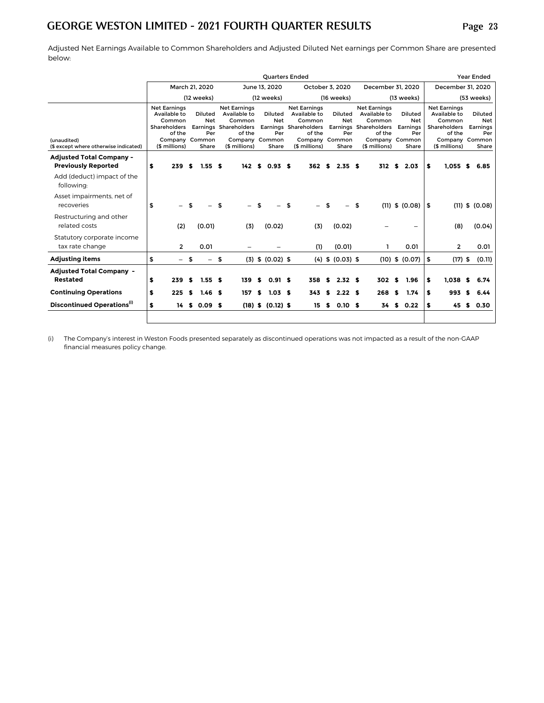Adjusted Net Earnings Available to Common Shareholders and Adjusted Diluted Net earnings per Common Share are presented below:

|                                                               |    |                                                                                                                   |      |                                              |                                                                                                                     |    | <b>Quarters Ended</b>                        |                                                                                                              |    |                                                 |                                                                                                                     |    |                                                          |    |                                                                                                                   |     | Year Ended          |                     |
|---------------------------------------------------------------|----|-------------------------------------------------------------------------------------------------------------------|------|----------------------------------------------|---------------------------------------------------------------------------------------------------------------------|----|----------------------------------------------|--------------------------------------------------------------------------------------------------------------|----|-------------------------------------------------|---------------------------------------------------------------------------------------------------------------------|----|----------------------------------------------------------|----|-------------------------------------------------------------------------------------------------------------------|-----|---------------------|---------------------|
|                                                               |    |                                                                                                                   |      | March 21, 2020                               |                                                                                                                     |    | June 13, 2020                                |                                                                                                              |    | October 3, 2020                                 | December 31, 2020                                                                                                   |    |                                                          |    | December 31, 2020                                                                                                 |     |                     |                     |
|                                                               |    |                                                                                                                   |      | (12 weeks)                                   |                                                                                                                     |    | (12 weeks)                                   |                                                                                                              |    | (16 weeks)                                      |                                                                                                                     |    | (13 weeks)                                               |    |                                                                                                                   |     | (53 weeks)          |                     |
| (unaudited)<br>(\$ except where otherwise indicated)          |    | <b>Net Earnings</b><br>Available to<br>Common<br><b>Shareholders</b><br>of the<br>Company Common<br>(\$ millions) |      | <b>Diluted</b><br><b>Net</b><br>Per<br>Share | <b>Net Earnings</b><br>Available to<br>Common<br>Earnings Shareholders<br>of the<br>Company Common<br>(\$ millions) |    | <b>Diluted</b><br><b>Net</b><br>Per<br>Share | <b>Net Earnings</b><br>Available to<br>Common<br>Earnings Shareholders<br>of the<br>Company<br>(\$ millions) |    | Diluted<br><b>Net</b><br>Per<br>Common<br>Share | <b>Net Earnings</b><br>Available to<br>Common<br>Earnings Shareholders<br>of the<br>Company Common<br>(\$ millions) |    | <b>Diluted</b><br><b>Net</b><br>Earnings<br>Per<br>Share |    | <b>Net Earnings</b><br>Available to<br>Common<br><b>Shareholders</b><br>of the<br>Company Common<br>(\$ millions) |     | Diluted<br>Earnings | Net<br>Per<br>Share |
| <b>Adjusted Total Company -</b><br><b>Previously Reported</b> | S  | 239                                                                                                               | - \$ | 1.55 <sub>5</sub>                            |                                                                                                                     |    | $142$ \$ 0.93 \$                             | 362 S                                                                                                        |    | 2.35S                                           | 312S                                                                                                                |    | 2.03                                                     | \$ | 1.055S                                                                                                            |     | 6.85                |                     |
| Add (deduct) impact of the<br>following:                      |    |                                                                                                                   |      |                                              |                                                                                                                     |    |                                              |                                                                                                              |    |                                                 |                                                                                                                     |    |                                                          |    |                                                                                                                   |     |                     |                     |
| Asset impairments, net of<br>recoveries                       | \$ |                                                                                                                   |      |                                              | \$                                                                                                                  | \$ |                                              | \$                                                                                                           | \$ |                                                 | \$                                                                                                                  |    | $(11)$ \$ $(0.08)$                                       | \$ |                                                                                                                   |     | $(11)$ \$ $(0.08)$  |                     |
| Restructuring and other<br>related costs                      |    | (2)                                                                                                               |      | (0.01)                                       | (3)                                                                                                                 |    | (0.02)                                       | (3)                                                                                                          |    | (0.02)                                          |                                                                                                                     |    |                                                          |    | (8)                                                                                                               |     | (0.04)              |                     |
| Statutory corporate income<br>tax rate change                 |    | $\overline{2}$                                                                                                    |      | 0.01                                         |                                                                                                                     |    |                                              | (1)                                                                                                          |    | (0.01)                                          |                                                                                                                     |    | 0.01                                                     |    | $\overline{2}$                                                                                                    |     |                     | 0.01                |
| <b>Adjusting items</b>                                        | \$ |                                                                                                                   | -\$  | $\overline{\phantom{0}}$                     | \$                                                                                                                  |    | $(3)$ \$ $(0.02)$ \$                         |                                                                                                              |    | $(4)$ \$ $(0.03)$ \$                            |                                                                                                                     |    | $(10)$ \$ $(0.07)$                                       | \$ | $(17)$ \$                                                                                                         |     |                     | (0.11)              |
| <b>Adjusted Total Company -</b><br>Restated                   | \$ | 239                                                                                                               | -S   | 1.55S                                        | 139                                                                                                                 | s. | 0.91 S                                       | 358                                                                                                          | S. | 2.32 <sub>5</sub>                               | 302                                                                                                                 | S. | 1.96                                                     | \$ | 1.038                                                                                                             | \$  | 6.74                |                     |
| <b>Continuing Operations</b>                                  | \$ | 225                                                                                                               | S.   | $1.46-5$                                     | 157                                                                                                                 | s. | $1.03$ \$                                    | 343                                                                                                          | s. | 2.22S                                           | 268                                                                                                                 | s. | 1.74                                                     | S  | 993                                                                                                               | \$. | 6.44                |                     |
| Discontinued Operations <sup>(i)</sup>                        | s  |                                                                                                                   |      | 14 \$ 0.09 \$                                |                                                                                                                     |    | $(18)$ \$ $(0.12)$ \$                        | 15                                                                                                           | s. | 0.10 <sub>5</sub>                               | 34                                                                                                                  |    | \$0.22                                                   | \$ | 45                                                                                                                | S.  | 0.30                |                     |
|                                                               |    |                                                                                                                   |      |                                              |                                                                                                                     |    |                                              |                                                                                                              |    |                                                 |                                                                                                                     |    |                                                          |    |                                                                                                                   |     |                     |                     |

**(i)** The Company's interest in Weston Foods presented separately as discontinued operations was not impacted as a result of the non-GAAP financial measures policy change.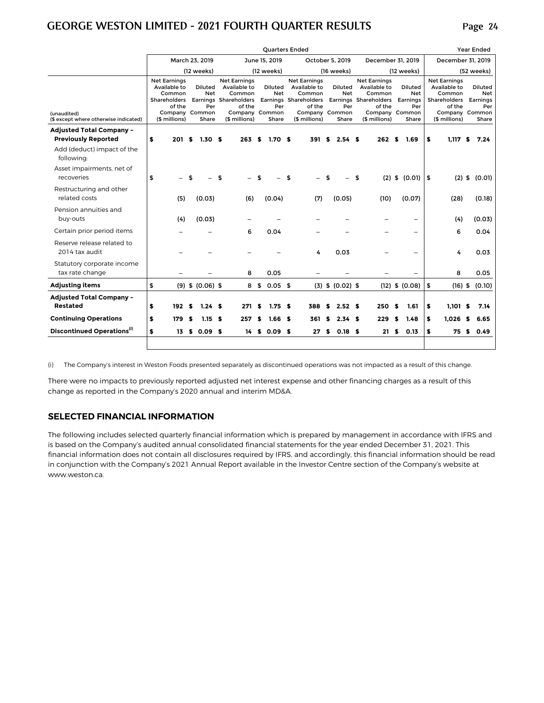|                                                      |                                                     | <b>Ouarters Ended</b>             |      |                                                         |    |                                                                                                                     |    |                                              |    |                                                                                                                     |    |                                              |    |                                                                                                                     |    |                                            |                                                                                                            | Year Ended |                                            |
|------------------------------------------------------|-----------------------------------------------------|-----------------------------------|------|---------------------------------------------------------|----|---------------------------------------------------------------------------------------------------------------------|----|----------------------------------------------|----|---------------------------------------------------------------------------------------------------------------------|----|----------------------------------------------|----|---------------------------------------------------------------------------------------------------------------------|----|--------------------------------------------|------------------------------------------------------------------------------------------------------------|------------|--------------------------------------------|
|                                                      |                                                     |                                   |      | March 23, 2019                                          |    |                                                                                                                     |    | June 15, 2019                                |    |                                                                                                                     |    | October 5, 2019                              |    | December 31, 2019                                                                                                   |    |                                            | December 31, 2019                                                                                          |            |                                            |
|                                                      |                                                     |                                   |      | (12 weeks)                                              |    |                                                                                                                     |    | (12 weeks)                                   |    |                                                                                                                     |    | (16 weeks)                                   |    |                                                                                                                     |    | (12 weeks)                                 |                                                                                                            |            | (52 weeks)                                 |
| (unaudited)<br>(\$ except where otherwise indicated) | <b>Net Earnings</b><br>Available to<br>Shareholders | Common<br>of the<br>(\$ millions) |      | Diluted<br><b>Net</b><br>Per<br>Company Common<br>Share |    | <b>Net Earnings</b><br>Available to<br>Common<br>Earnings Shareholders<br>of the<br>Company Common<br>(\$ millions) |    | <b>Diluted</b><br><b>Net</b><br>Per<br>Share |    | <b>Net Earnings</b><br>Available to<br>Common<br>Earnings Shareholders<br>of the<br>Company Common<br>(\$ millions) |    | <b>Diluted</b><br><b>Net</b><br>Per<br>Share |    | <b>Net Earnings</b><br>Available to<br>Common<br>Earnings Shareholders<br>of the<br>Company Common<br>(\$ millions) |    | Diluted<br>Net<br>Earnings<br>Per<br>Share | <b>Net Earnings</b><br>Available to<br>Common<br>Shareholders<br>of the<br>Company Common<br>(\$ millions) |            | Diluted<br>Net<br>Earnings<br>Per<br>Share |
| <b>Adjusted Total Company -</b>                      |                                                     |                                   |      |                                                         |    |                                                                                                                     |    |                                              |    |                                                                                                                     |    |                                              |    |                                                                                                                     |    |                                            |                                                                                                            |            |                                            |
| <b>Previously Reported</b>                           | \$                                                  | 201                               | s.   | 1.30 <sub>5</sub>                                       |    | 263                                                                                                                 | \$ | 1.70 <sub>5</sub>                            |    | 391                                                                                                                 | S  | 2.54S                                        |    | 262                                                                                                                 |    | 1.69                                       | \$<br>1,117                                                                                                |            | 7.24                                       |
| Add (deduct) impact of the<br>following:             |                                                     |                                   |      |                                                         |    |                                                                                                                     |    |                                              |    |                                                                                                                     |    |                                              |    |                                                                                                                     |    |                                            |                                                                                                            |            |                                            |
| Asset impairments, net of<br>recoveries              | \$                                                  |                                   |      |                                                         | \$ |                                                                                                                     |    |                                              | \$ |                                                                                                                     |    |                                              | \$ |                                                                                                                     |    | $(2)$ \$ $(0.01)$   \$                     | (2)                                                                                                        | \$         | (0.01)                                     |
| Restructuring and other<br>related costs             |                                                     | (5)                               |      | (0.03)                                                  |    | (6)                                                                                                                 |    | (0.04)                                       |    | (7)                                                                                                                 |    | (0.05)                                       |    | (10)                                                                                                                |    | (0.07)                                     | (28)                                                                                                       |            | (0.18)                                     |
| Pension annuities and<br>buy-outs                    |                                                     | (4)                               |      | (0.03)                                                  |    |                                                                                                                     |    |                                              |    |                                                                                                                     |    |                                              |    |                                                                                                                     |    |                                            | (4)                                                                                                        |            | (0.03)                                     |
| Certain prior period items                           |                                                     |                                   |      |                                                         |    | 6                                                                                                                   |    | 0.04                                         |    |                                                                                                                     |    |                                              |    |                                                                                                                     |    |                                            | 6                                                                                                          |            | 0.04                                       |
| Reserve release related to<br>2014 tax audit         |                                                     |                                   |      |                                                         |    |                                                                                                                     |    |                                              |    | 4                                                                                                                   |    | 0.03                                         |    |                                                                                                                     |    | ۳                                          | 4                                                                                                          |            | 0.03                                       |
| Statutory corporate income<br>tax rate change        |                                                     |                                   |      |                                                         |    | 8                                                                                                                   |    | 0.05                                         |    |                                                                                                                     |    |                                              |    |                                                                                                                     |    |                                            | 8                                                                                                          |            | 0.05                                       |
| <b>Adjusting items</b>                               | \$                                                  |                                   |      | $(9)$ \$ $(0.06)$ \$                                    |    | 8                                                                                                                   | \$ | $0.05$ \$                                    |    |                                                                                                                     |    | $(3)$ \$ $(0.02)$ \$                         |    |                                                                                                                     |    | $(12)$ \$ $(0.08)$                         | \$<br>$(16)$ \$                                                                                            |            | (0.10)                                     |
| <b>Adjusted Total Company -</b><br><b>Restated</b>   | \$                                                  | 192                               | - \$ | 1.24S                                                   |    | 271                                                                                                                 | S  | 1.75 <sub>5</sub>                            |    | 388                                                                                                                 | s. | 2.52S                                        |    | 250                                                                                                                 | S  | 1.61                                       | \$<br>$1.101$ \$                                                                                           |            | 7.14                                       |
| <b>Continuing Operations</b>                         | \$                                                  | 179                               | S    | 1.15S                                                   |    | 257                                                                                                                 | S  | 1.66 <sub>5</sub>                            |    | 361                                                                                                                 | S  | 2.34S                                        |    | 229                                                                                                                 | \$ | 1.48                                       | \$<br>1.026                                                                                                | S          | 6.65                                       |
| Discontinued Operations <sup>(i)</sup>               | \$                                                  | 13                                | s.   | 0.09 <sub>5</sub>                                       |    | 14                                                                                                                  | s. | $0.09$ \$                                    |    | 27                                                                                                                  | s. | 0.18 <sub>5</sub>                            |    | 21                                                                                                                  | S  | 0.13                                       | \$<br>75                                                                                                   | S.         | 0.49                                       |
|                                                      |                                                     |                                   |      |                                                         |    |                                                                                                                     |    |                                              |    |                                                                                                                     |    |                                              |    |                                                                                                                     |    |                                            |                                                                                                            |            |                                            |

**(i)** The Company's interest in Weston Foods presented separately as discontinued operations was not impacted as a result of this change.

There were no impacts to previously reported adjusted net interest expense and other financing charges as a result of this change as reported in the Company's 2020 annual and interim MD&A.

#### **SELECTED FINANCIAL INFORMATION**

The following includes selected quarterly financial information which is prepared by management in accordance with IFRS and is based on the Company's audited annual consolidated financial statements for the year ended December 31, 2021. This financial information does not contain all disclosures required by IFRS, and accordingly, this financial information should be read in conjunction with the Company's 2021 Annual Report available in the Investor Centre section of the Company's website at www.weston.ca.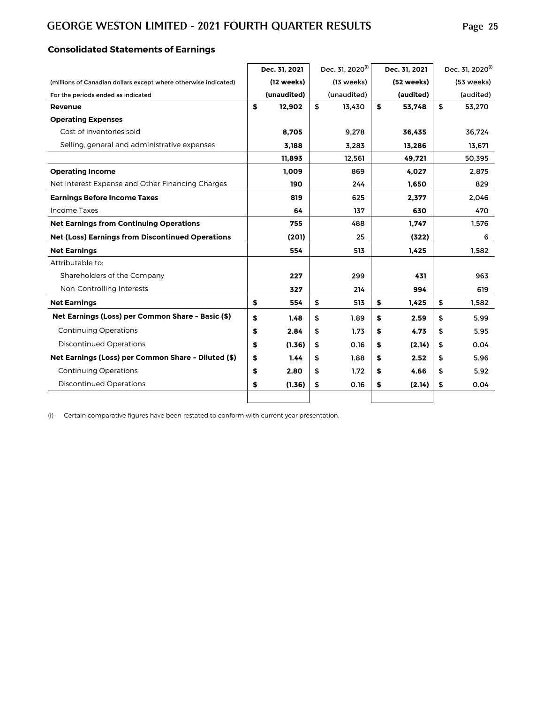# **Consolidated Statements of Earnings**

|                                                                 | Dec. 31, 2021 | Dec. 31, 2020 <sup>(i)</sup> | Dec. 31, 2021 | Dec. 31, 2020 <sup>(i)</sup> |
|-----------------------------------------------------------------|---------------|------------------------------|---------------|------------------------------|
| (millions of Canadian dollars except where otherwise indicated) | (12 weeks)    | $(13$ weeks)                 | (52 weeks)    | (53 weeks)                   |
| For the periods ended as indicated                              | (unaudited)   | (unaudited)                  | (audited)     | (audited)                    |
| Revenue                                                         | \$<br>12,902  | \$<br>13,430                 | \$<br>53,748  | \$<br>53,270                 |
| <b>Operating Expenses</b>                                       |               |                              |               |                              |
| Cost of inventories sold                                        | 8.705         | 9,278                        | 36,435        | 36.724                       |
| Selling, general and administrative expenses                    | 3.188         | 3,283                        | 13,286        | 13,671                       |
|                                                                 | 11,893        | 12,561                       | 49,721        | 50,395                       |
| <b>Operating Income</b>                                         | 1.009         | 869                          | 4.027         | 2.875                        |
| Net Interest Expense and Other Financing Charges                | 190           | 244                          | 1,650         | 829                          |
| <b>Earnings Before Income Taxes</b>                             | 819           | 625                          | 2,377         | 2,046                        |
| <b>Income Taxes</b>                                             | 64            | 137                          | 630           | 470                          |
| <b>Net Earnings from Continuing Operations</b>                  | 755           | 488                          | 1,747         | 1,576                        |
| <b>Net (Loss) Earnings from Discontinued Operations</b>         | (201)         | 25                           | (322)         | 6                            |
| <b>Net Earnings</b>                                             | 554           | 513                          | 1.425         | 1.582                        |
| Attributable to:                                                |               |                              |               |                              |
| Shareholders of the Company                                     | 227           | 299                          | 431           | 963                          |
| Non-Controlling Interests                                       | 327           | 214                          | 994           | 619                          |
| <b>Net Earnings</b>                                             | \$<br>554     | \$<br>513                    | \$<br>1,425   | \$<br>1,582                  |
| Net Earnings (Loss) per Common Share - Basic (\$)               | \$<br>1.48    | \$<br>1.89                   | \$<br>2.59    | \$<br>5.99                   |
| <b>Continuing Operations</b>                                    | \$<br>2.84    | \$<br>1.73                   | \$<br>4.73    | \$<br>5.95                   |
| <b>Discontinued Operations</b>                                  | \$<br>(1.36)  | \$<br>0.16                   | \$<br>(2.14)  | \$<br>0.04                   |
| Net Earnings (Loss) per Common Share - Diluted (\$)             | \$<br>1.44    | \$<br>1.88                   | \$<br>2.52    | \$<br>5.96                   |
| <b>Continuing Operations</b>                                    | \$<br>2.80    | \$<br>1.72                   | \$<br>4.66    | \$<br>5.92                   |
| <b>Discontinued Operations</b>                                  | \$<br>(1.36)  | \$<br>0.16                   | \$<br>(2.14)  | \$<br>0.04                   |
|                                                                 |               |                              |               |                              |

(i) Certain comparative figures have been restated to conform with current year presentation.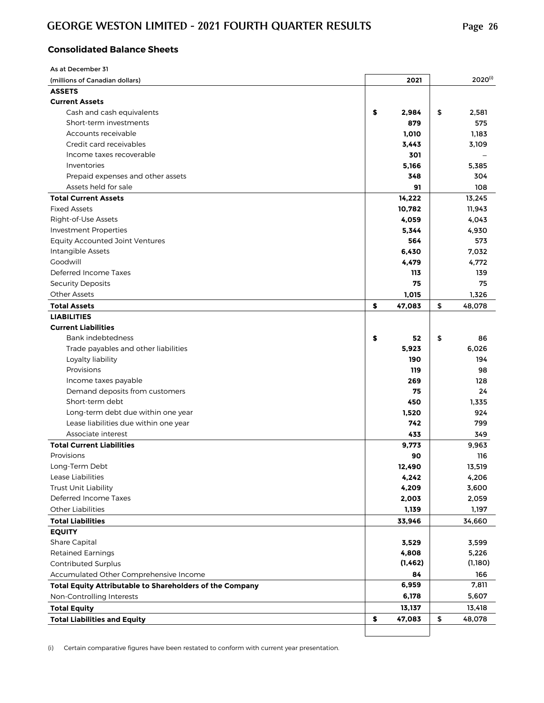# **Consolidated Balance Sheets**

| As at December 31                                        |              |              |
|----------------------------------------------------------|--------------|--------------|
| (millions of Canadian dollars)                           | 2021         | $2020^{(i)}$ |
| <b>ASSETS</b>                                            |              |              |
| <b>Current Assets</b>                                    |              |              |
| Cash and cash equivalents                                | \$<br>2,984  | \$<br>2,581  |
| Short-term investments                                   | 879          | 575          |
| Accounts receivable                                      | 1,010        | 1,183        |
| Credit card receivables                                  | 3,443        | 3,109        |
| Income taxes recoverable                                 | 301          |              |
| Inventories                                              | 5,166        | 5,385        |
| Prepaid expenses and other assets                        | 348          | 304          |
| Assets held for sale                                     | 91           | 108          |
| <b>Total Current Assets</b>                              | 14,222       | 13,245       |
| <b>Fixed Assets</b>                                      | 10,782       | 11,943       |
| Right-of-Use Assets                                      | 4,059        | 4,043        |
| <b>Investment Properties</b>                             | 5,344        | 4,930        |
| <b>Equity Accounted Joint Ventures</b>                   | 564          | 573          |
| Intangible Assets                                        | 6,430        | 7,032        |
| Goodwill                                                 | 4,479        | 4,772        |
| Deferred Income Taxes                                    | 113          | 139          |
| <b>Security Deposits</b>                                 | 75           | 75           |
| <b>Other Assets</b>                                      | 1,015        | 1,326        |
| <b>Total Assets</b>                                      | \$<br>47,083 | \$<br>48,078 |
| <b>LIABILITIES</b>                                       |              |              |
| <b>Current Liabilities</b>                               |              |              |
| Bank indebtedness                                        | \$<br>52     | \$<br>86     |
| Trade payables and other liabilities                     | 5,923        | 6,026        |
| Loyalty liability                                        | 190          | 194          |
| Provisions                                               | 119          |              |
|                                                          |              | 98           |
| Income taxes payable                                     | 269          | 128          |
| Demand deposits from customers                           | 75           | 24           |
| Short-term debt                                          | 450          | 1,335        |
| Long-term debt due within one year                       | 1,520        | 924          |
| Lease liabilities due within one year                    | 742          | 799          |
| Associate interest                                       | 433          | 349          |
| <b>Total Current Liabilities</b>                         | 9,773        | 9,963        |
| Provisions                                               | 90           | 116          |
| Long-Term Debt                                           | 12,490       | 13,519       |
| Lease Liabilities                                        | 4,242        | 4,206        |
| Trust Unit Liability                                     | 4,209        | 3,600        |
| Deferred Income Taxes                                    | 2,003        | 2,059        |
| <b>Other Liabilities</b>                                 | 1,139        | 1,197        |
| <b>Total Liabilities</b>                                 | 33,946       | 34,660       |
| <b>EQUITY</b>                                            |              |              |
| Share Capital                                            | 3,529        | 3,599        |
| <b>Retained Earnings</b>                                 | 4,808        | 5,226        |
| Contributed Surplus                                      | (1, 462)     | (1,180)      |
| Accumulated Other Comprehensive Income                   | 84           | 166          |
| Total Equity Attributable to Shareholders of the Company | 6,959        | 7,811        |
| Non-Controlling Interests                                | 6,178        | 5,607        |
| <b>Total Equity</b>                                      | 13,137       | 13,418       |
| <b>Total Liabilities and Equity</b>                      | \$<br>47,083 | \$<br>48,078 |
|                                                          |              |              |

(i) Certain comparative figures have been restated to conform with current year presentation.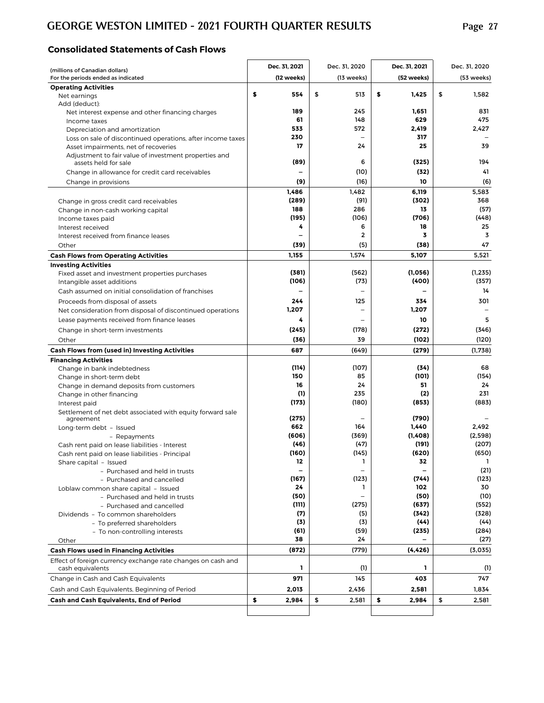#### **Consolidated Statements of Cash Flows**

| (millions of Canadian dollars)                                   | Dec. 31, 2021     | Dec. 31, 2020            | Dec. 31, 2021     | Dec. 31, 2020   |
|------------------------------------------------------------------|-------------------|--------------------------|-------------------|-----------------|
| For the periods ended as indicated                               | (12 weeks)        | (13 weeks)               | (52 weeks)        | (53 weeks)      |
| <b>Operating Activities</b>                                      |                   |                          |                   |                 |
| Net earnings                                                     | \$<br>554         | \$<br>513                | \$<br>1.425       | \$<br>1.582     |
| Add (deduct):                                                    | 189               | 245                      | 1,651             | 831             |
| Net interest expense and other financing charges<br>Income taxes | 61                | 148                      | 629               | 475             |
| Depreciation and amortization                                    | 533               | 572                      | 2,419             | 2,427           |
| Loss on sale of discontinued operations, after income taxes      | 230               | $\overline{\phantom{0}}$ | 317               |                 |
| Asset impairments, net of recoveries                             | 17                | 24                       | 25                | 39              |
| Adjustment to fair value of investment properties and            |                   |                          |                   |                 |
| assets held for sale                                             | (89)              | 6                        | (325)             | 194             |
| Change in allowance for credit card receivables                  |                   | (10)                     | (32)              | 41              |
| Change in provisions                                             | (9)               | (16)                     | 10                | (6)             |
|                                                                  | 1,486             | 1,482                    | 6,119             | 5,583           |
| Change in gross credit card receivables                          | (289)<br>188      | (91)<br>286              | (302)<br>13       | 368<br>(57)     |
| Change in non-cash working capital                               | (195)             | (106)                    | (706)             | (448)           |
| Income taxes paid<br>Interest received                           | 4                 | 6                        | 18                | 25              |
| Interest received from finance leases                            |                   | $\mathbf{2}$             | 3                 | 3               |
| Other                                                            | (39)              | (5)                      | (38)              | 47              |
| <b>Cash Flows from Operating Activities</b>                      | 1,155             | 1,574                    | 5,107             | 5,521           |
| <b>Investing Activities</b>                                      |                   |                          |                   |                 |
| Fixed asset and investment properties purchases                  | (381)             | (562)                    | (1,056)           | (1, 235)        |
| Intangible asset additions                                       | (106)             | (73)                     | (400)             | (357)           |
| Cash assumed on initial consolidation of franchises              |                   |                          |                   | 14              |
| Proceeds from disposal of assets                                 | 244               | 125                      | 334               | 301             |
| Net consideration from disposal of discontinued operations       | 1,207             | $\overline{\phantom{0}}$ | 1,207             |                 |
| Lease payments received from finance leases                      | 4                 |                          | 10                | 5               |
| Change in short-term investments                                 | (245)             | (178)                    | (272)             | (346)           |
| Other                                                            | (36)              | 39                       | (102)             | (120)           |
| Cash Flows from (used in) Investing Activities                   | 687               | (649)                    | (279)             | (1,738)         |
| <b>Financing Activities</b>                                      |                   |                          |                   |                 |
| Change in bank indebtedness                                      | (114)             | (107)                    | (34)              | 68              |
| Change in short-term debt                                        | 150<br>16         | 85<br>24                 | (101)<br>51       | (154)<br>24     |
| Change in demand deposits from customers                         | (1)               | 235                      | (2)               | 231             |
| Change in other financing<br>Interest paid                       | (173)             | (180)                    | (853)             | (883)           |
| Settlement of net debt associated with equity forward sale       |                   |                          |                   |                 |
| agreement                                                        | (275)             |                          | (790)             |                 |
| Long-term debt - Issued                                          | 662               | 164                      | 1,440             | 2,492           |
| - Repayments                                                     | (606)             | (369)                    | (1,408)           | (2,598)         |
| Cash rent paid on lease liabilities - Interest                   | (46)              | (47)                     | (191)             | (207)           |
| Cash rent paid on lease liabilities - Principal                  | (160)<br>12       | (145)<br>1               | (620)<br>32       | (650)<br>Т.     |
| Share capital - Issued<br>- Purchased and held in trusts         | $\qquad \qquad -$ | $\overline{\phantom{0}}$ | $\qquad \qquad -$ | (21)            |
| - Purchased and cancelled                                        | (167)             | (123)                    | (744)             | (123)           |
| Loblaw common share capital - Issued                             | 24                | $\mathbf{1}$             | 102               | 30              |
| - Purchased and held in trusts                                   | (50)              | $\overline{\phantom{0}}$ | (50)              | (10)            |
| - Purchased and cancelled                                        | (111)             | (275)                    | (637)             | (552)           |
| Dividends - To common shareholders                               | (7)               | (5)                      | (342)             | (328)           |
| - To preferred shareholders                                      | (3)               | (3)                      | (44)              | (44)            |
| - To non-controlling interests                                   | (61)<br>38        | (59)<br>24               | (235)             | (284)           |
| Other<br><b>Cash Flows used in Financing Activities</b>          | (872)             | (779)                    | (4,426)           | (27)<br>(3,035) |
| Effect of foreign currency exchange rate changes on cash and     |                   |                          |                   |                 |
| cash equivalents                                                 | ı                 | (1)                      | L                 | (1)             |
| Change in Cash and Cash Equivalents                              | 971               | 145                      | 403               | 747             |
| Cash and Cash Equivalents, Beginning of Period                   | 2,013             | 2,436                    | 2,581             | 1,834           |
| Cash and Cash Equivalents, End of Period                         | \$<br>2,984       | \$<br>2,581              | \$<br>2,984       | \$<br>2,581     |
|                                                                  |                   |                          |                   |                 |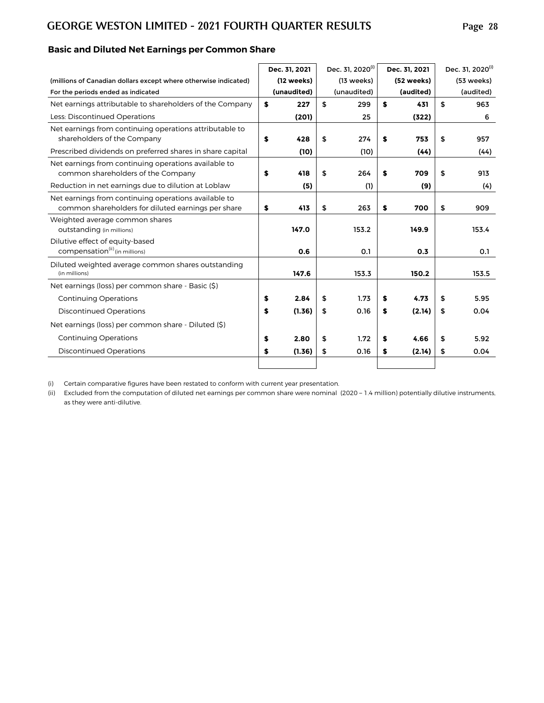|                                                                                                            | Dec. 31, 2021 |             | Dec. 31, 2020 <sup>(i)</sup> | Dec. 31. 2021 |            | Dec. 31, 2020(i) |  |  |
|------------------------------------------------------------------------------------------------------------|---------------|-------------|------------------------------|---------------|------------|------------------|--|--|
| (millions of Canadian dollars except where otherwise indicated)                                            |               | (12 weeks)  | (13 weeks)                   |               | (52 weeks) | (53 weeks)       |  |  |
| For the periods ended as indicated                                                                         |               | (unaudited) | (unaudited)                  |               | (audited)  | (audited)        |  |  |
| Net earnings attributable to shareholders of the Company                                                   | \$            | 227         | \$<br>299                    | \$            | 431        | \$<br>963        |  |  |
| Less: Discontinued Operations                                                                              |               | (201)       | 25                           |               | (322)      | 6                |  |  |
| Net earnings from continuing operations attributable to<br>shareholders of the Company                     | \$            | 428         | \$<br>274                    | \$            | 753        | \$<br>957        |  |  |
| Prescribed dividends on preferred shares in share capital                                                  |               | (10)        | (10)                         |               | (44)       | (44)             |  |  |
| Net earnings from continuing operations available to<br>common shareholders of the Company                 | \$            | 418         | \$<br>264                    | S             | 709        | \$<br>913        |  |  |
| Reduction in net earnings due to dilution at Loblaw                                                        |               | (5)         | (1)                          |               | (9)        | (4)              |  |  |
| Net earnings from continuing operations available to<br>common shareholders for diluted earnings per share | \$            | 413         | \$<br>263                    | \$            | 700        | \$<br>909        |  |  |
| Weighted average common shares<br>outstanding (in millions)                                                |               | 147.0       | 153.2                        |               | 149.9      | 153.4            |  |  |
| Dilutive effect of equity-based<br>compensation <sup>(ii)</sup> (in millions)                              |               | 0.6         | 0.1                          |               | 0.3        | 0.1              |  |  |
| Diluted weighted average common shares outstanding<br>(in millions)                                        |               | 147.6       | 153.3                        |               | 150.2      | 153.5            |  |  |
| Net earnings (loss) per common share - Basic (\$)                                                          |               |             |                              |               |            |                  |  |  |
| <b>Continuing Operations</b>                                                                               | \$            | 2.84        | \$<br>1.73                   | \$            | 4.73       | \$<br>5.95       |  |  |
| <b>Discontinued Operations</b>                                                                             | \$            | (1.36)      | \$<br>0.16                   | \$            | (2.14)     | \$<br>0.04       |  |  |
| Net earnings (loss) per common share - Diluted (\$)                                                        |               |             |                              |               |            |                  |  |  |
| <b>Continuing Operations</b>                                                                               | \$            | 2.80        | \$<br>1.72                   | \$            | 4.66       | \$<br>5.92       |  |  |
| <b>Discontinued Operations</b>                                                                             | \$            | (1.36)      | \$<br>0.16                   | \$            | (2.14)     | \$<br>0.04       |  |  |
|                                                                                                            |               |             |                              |               |            |                  |  |  |

# **Basic and Diluted Net Earnings per Common Share**

(i) Certain comparative figures have been restated to conform with current year presentation.

(ii) Excluded from the computation of diluted net earnings per common share were nominal (2020 - 1.4 million) potentially dilutive instruments, as they were anti-dilutive.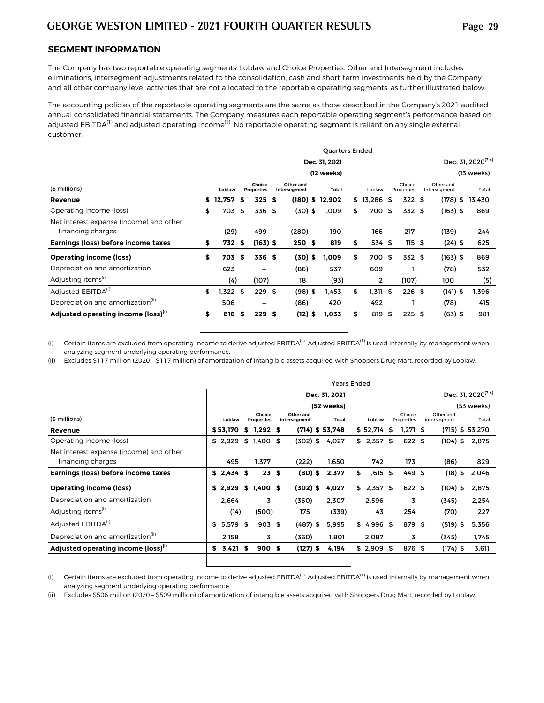#### **SEGMENT INFORMATION**

The Company has two reportable operating segments: Loblaw and Choice Properties. Other and Intersegment includes eliminations, intersegment adjustments related to the consolidation, cash and short-term investments held by the Company and all other company level activities that are not allocated to the reportable operating segments, as further illustrated below.

The accounting policies of the reportable operating segments are the same as those described in the Company's 2021 audited annual consolidated financial statements. The Company measures each reportable operating segment's performance based on adjusted EBITDA<sup>(1)</sup> and adjusted operating income<sup>(1)</sup>. No reportable operating segment is reliant on any single external customer.

|                                                 | <b>Quarters Ended</b> |            |      |                             |  |                                  |  |                   |    |              |    |                      |                           |  |                                |
|-------------------------------------------------|-----------------------|------------|------|-----------------------------|--|----------------------------------|--|-------------------|----|--------------|----|----------------------|---------------------------|--|--------------------------------|
|                                                 | Dec. 31, 2021         |            |      |                             |  |                                  |  |                   |    |              |    |                      |                           |  | Dec. 31, 2020 <sup>(3,4)</sup> |
|                                                 |                       | (12 weeks) |      |                             |  |                                  |  |                   |    |              |    |                      |                           |  | $(13$ weeks)                   |
| (\$ millions)                                   |                       | Loblaw     |      | Choice<br><b>Properties</b> |  | Other and<br><b>Interseament</b> |  | <b>Total</b>      |    | Loblaw       |    | Choice<br>Properties | Other and<br>Interseament |  | Total                          |
| Revenue                                         |                       | \$12,757   | - \$ | 325S                        |  |                                  |  | $(180)$ \$ 12,902 |    | $$13,286$ \$ |    | 322S                 | (178) \$                  |  | 13,430                         |
| Operating income (loss)                         | \$                    | 703        | \$   | 336 \$                      |  | $(30)$ \$                        |  | 1,009             | \$ | 700 \$       |    | 332 \$               | $(163)$ \$                |  | 869                            |
| Net interest expense (income) and other         |                       |            |      |                             |  |                                  |  |                   |    |              |    |                      |                           |  |                                |
| financing charges                               |                       | (29)       |      | 499                         |  | (280)                            |  | 190               |    | 166          |    | 217                  | (139)                     |  | 244                            |
| Earnings (loss) before income taxes             | \$                    | 732 \$     |      | $(163)$ \$                  |  | 250 <sup>5</sup>                 |  | 819               | \$ | 534 \$       |    | 115S                 | $(24)$ \$                 |  | 625                            |
| <b>Operating income (loss)</b>                  | \$                    | 703        | S    | 336 \$                      |  | $(30)$ \$                        |  | 1,009             | \$ | 700 \$       |    | 332 \$               | $(163)$ \$                |  | 869                            |
| Depreciation and amortization                   |                       | 623        |      |                             |  | (86)                             |  | 537               |    | 609          |    |                      | (78)                      |  | 532                            |
| Adjusting items <sup>(1)</sup>                  |                       | (4)        |      | (107)                       |  | 18                               |  | (93)              |    | 2            |    | (107)                | 100                       |  | (5)                            |
| Adjusted EBITDA <sup>(i)</sup>                  | \$                    | 1,322 \$   |      | 229S                        |  | $(98)$ \$                        |  | 1,453             | \$ | 1,311 \$     |    | $226$ \$             | $(141)$ \$                |  | 1,396                          |
| Depreciation and amortization <sup>(11)</sup>   |                       | 506        |      | -                           |  | (86)                             |  | 420               |    | 492          |    |                      | (78)                      |  | 415                            |
| Adjusted operating income (loss) <sup>(1)</sup> | \$                    | 816        | - \$ | 229S                        |  | $(12)$ \$                        |  | 1,033             | \$ | 819          | \$ | 225S                 | $(63)$ \$                 |  | 981                            |
|                                                 |                       |            |      |                             |  |                                  |  |                   |    |              |    |                      |                           |  |                                |

(i) Certain items are excluded from operating income to derive adjusted EBITDA<sup>(1)</sup>. Adjusted EBITDA<sup>(1)</sup> is used internally by management when analyzing segment underlying operating performance.

(ii) Excludes \$117 million (2020 – \$117 million) of amortization of intangible assets acquired with Shoppers Drug Mart, recorded by Loblaw.

|                                                 | <b>Years Ended</b> |             |   |                             |  |                           |  |                   |                                |             |      |                      |  |                           |  |                 |  |  |
|-------------------------------------------------|--------------------|-------------|---|-----------------------------|--|---------------------------|--|-------------------|--------------------------------|-------------|------|----------------------|--|---------------------------|--|-----------------|--|--|
|                                                 | Dec. 31, 2021      |             |   |                             |  |                           |  |                   | Dec. 31, 2020 <sup>(3,4)</sup> |             |      |                      |  |                           |  |                 |  |  |
|                                                 |                    | (52 weeks)  |   |                             |  |                           |  |                   |                                | (53 weeks)  |      |                      |  |                           |  |                 |  |  |
| (\$ millions)                                   |                    | Loblaw      |   | Choice<br><b>Properties</b> |  | Other and<br>Intersegment |  | Total             |                                | Loblaw      |      | Choice<br>Properties |  | Other and<br>Intersegment |  | Total           |  |  |
| Revenue                                         |                    | \$53,170    | s | $1,292$ \$                  |  |                           |  | $(714)$ \$ 53,748 |                                | \$52,714    | \$   | $1,271$ \$           |  |                           |  | (715) \$ 53,270 |  |  |
| Operating income (loss)                         |                    | \$2.929     |   | $$1,400$ \$                 |  | (302) \$                  |  | 4,027             |                                | $$2,357$ \$ |      | $622$ \$             |  | $(104)$ \$                |  | 2,875           |  |  |
| Net interest expense (income) and other         |                    |             |   |                             |  |                           |  |                   |                                |             |      |                      |  |                           |  |                 |  |  |
| financing charges                               |                    | 495         |   | 1.377                       |  | (222)                     |  | 1.650             |                                | 742         |      | 173                  |  | (86)                      |  | 829             |  |  |
| Earnings (loss) before income taxes             |                    | $$2,434$ \$ |   | 23S                         |  | $(80)$ \$                 |  | 2,377             | \$                             | $1,615$ \$  |      | 449 \$               |  | $(18)$ \$                 |  | 2,046           |  |  |
| <b>Operating income (loss)</b>                  | S.                 | 2.929       |   | \$ 1,400 \$                 |  | $(302)$ \$                |  | 4,027             |                                | $$2,357$ \$ |      | 622 \$               |  | $(104)$ \$                |  | 2.875           |  |  |
| Depreciation and amortization                   |                    | 2,664       |   | 3                           |  | (360)                     |  | 2,307             |                                | 2,596       |      | 3                    |  | (345)                     |  | 2,254           |  |  |
| Adjusting items <sup>(1)</sup>                  |                    | (14)        |   | (500)                       |  | 175                       |  | (339)             |                                | 43          |      | 254                  |  | (70)                      |  | 227             |  |  |
| Adjusted EBITDA <sup>(1)</sup>                  | \$                 | 5,579 \$    |   | $903$ \$                    |  | $(487)$ \$                |  | 5,995             |                                | $$4,996$ \$ |      | 879 \$               |  | $(519)$ \$                |  | 5,356           |  |  |
| Depreciation and amortization <sup>(11)</sup>   |                    | 2,158       |   | 3                           |  | (360)                     |  | 1.801             |                                | 2,087       |      | 3                    |  | (345)                     |  | 1,745           |  |  |
| Adjusted operating income (loss) <sup>(1)</sup> | s                  | $3,421$ \$  |   | 900 <sub>s</sub>            |  | $(127)$ \$                |  | 4,194             |                                | \$2,909     | - \$ | 876 \$               |  | $(174)$ \$                |  | 3,611           |  |  |
|                                                 |                    |             |   |                             |  |                           |  |                   |                                |             |      |                      |  |                           |  |                 |  |  |

(i) Certain items are excluded from operating income to derive adjusted EBITDA<sup>(1)</sup>. Adjusted EBITDA<sup>(1)</sup> is used internally by management when analyzing segment underlying operating performance.

(ii) Excludes \$506 million (2020 – \$509 million) of amortization of intangible assets acquired with Shoppers Drug Mart, recorded by Loblaw.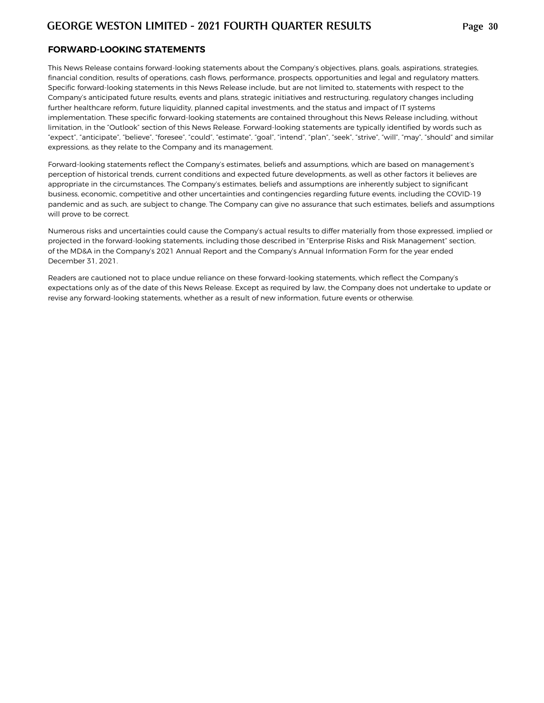#### **FORWARD-LOOKING STATEMENTS**

This News Release contains forward-looking statements about the Company's objectives, plans, goals, aspirations, strategies, financial condition, results of operations, cash flows, performance, prospects, opportunities and legal and regulatory matters. Specific forward-looking statements in this News Release include, but are not limited to, statements with respect to the Company's anticipated future results, events and plans, strategic initiatives and restructuring,regulatory changes including further healthcare reform, future liquidity, planned capital investments, and the status and impact of IT systems implementation. These specific forward-looking statements are contained throughout this News Release including, without limitation, in the "Outlook" section of this News Release. Forward-looking statements are typically identified by words such as "expect", "anticipate", "believe", "foresee", "could", "estimate", "goal", "intend", "plan", "seek", "strive", "will", "may", "should" and similar expressions, as they relate to the Company and its management.

Forward-looking statements reflect the Company's estimates, beliefs and assumptions, which are based on management's perception of historical trends, current conditions and expected future developments, as well as other factors it believes are appropriate in the circumstances. The Company's estimates, beliefs and assumptions are inherently subject to significant business, economic, competitive and other uncertainties and contingencies regarding future events, including the COVID-19 pandemic and as such, are subject to change. The Company can give no assurance that such estimates, beliefs and assumptions will prove to be correct.

Numerous risks and uncertainties could cause the Company's actual results to differ materially from those expressed, implied or projected in the forward-looking statements, including those described in "Enterprise Risks and Risk Management" section, of the MD&A in the Company's 2021 Annual Report and the Company's Annual Information Form for the year ended December 31, 2021.

Readers are cautioned not to place undue reliance on these forward-looking statements, which reflect the Company's expectations only as of the date of this News Release. Except as required by law, the Company does not undertake to update or revise any forward-looking statements, whether as a result of new information, future events or otherwise.